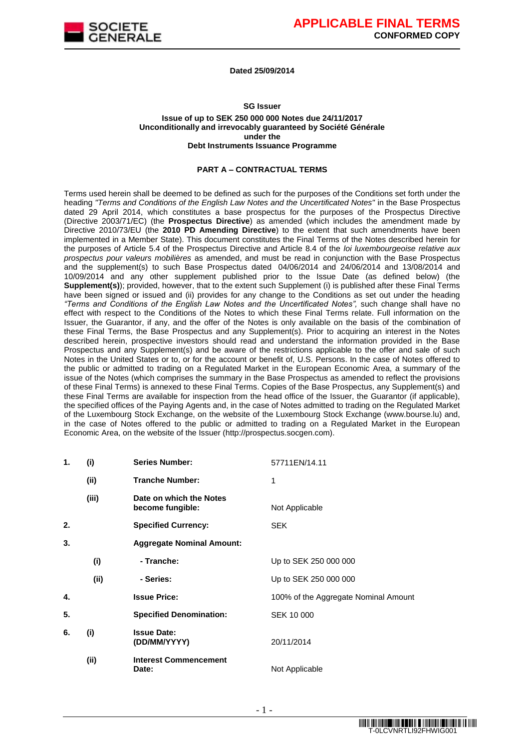

#### **Dated 25/09/2014**

#### **SG Issuer**

#### **Issue of up to SEK 250 000 000 Notes due 24/11/2017 Unconditionally and irrevocably guaranteed by Société Générale under the Debt Instruments Issuance Programme**

#### **PART A – CONTRACTUAL TERMS**

Terms used herein shall be deemed to be defined as such for the purposes of the Conditions set forth under the heading *"Terms and Conditions of the English Law Notes and the Uncertificated Notes"* in the Base Prospectus dated 29 April 2014, which constitutes a base prospectus for the purposes of the Prospectus Directive (Directive 2003/71/EC) (the **Prospectus Directive**) as amended (which includes the amendment made by Directive 2010/73/EU (the **2010 PD Amending Directive**) to the extent that such amendments have been implemented in a Member State). This document constitutes the Final Terms of the Notes described herein for the purposes of Article 5.4 of the Prospectus Directive and Article 8.4 of the *loi luxembourgeoise relative aux prospectus pour valeurs mobilières* as amended, and must be read in conjunction with the Base Prospectus and the supplement(s) to such Base Prospectus dated 04/06/2014 and 24/06/2014 and 13/08/2014 and 10/09/2014 and any other supplement published prior to the Issue Date (as defined below) (the **Supplement(s)**); provided, however, that to the extent such Supplement (i) is published after these Final Terms have been signed or issued and (ii) provides for any change to the Conditions as set out under the heading *"Terms and Conditions of the English Law Notes and the Uncertificated Notes",* such change shall have no effect with respect to the Conditions of the Notes to which these Final Terms relate. Full information on the Issuer, the Guarantor, if any, and the offer of the Notes is only available on the basis of the combination of these Final Terms, the Base Prospectus and any Supplement(s). Prior to acquiring an interest in the Notes described herein, prospective investors should read and understand the information provided in the Base Prospectus and any Supplement(s) and be aware of the restrictions applicable to the offer and sale of such Notes in the United States or to, or for the account or benefit of, U.S. Persons. In the case of Notes offered to the public or admitted to trading on a Regulated Market in the European Economic Area, a summary of the issue of the Notes (which comprises the summary in the Base Prospectus as amended to reflect the provisions of these Final Terms) is annexed to these Final Terms. Copies of the Base Prospectus, any Supplement(s) and these Final Terms are available for inspection from the head office of the Issuer, the Guarantor (if applicable), the specified offices of the Paying Agents and, in the case of Notes admitted to trading on the Regulated Market of the Luxembourg Stock Exchange, on the website of the Luxembourg Stock Exchange (www.bourse.lu) and, in the case of Notes offered to the public or admitted to trading on a Regulated Market in the European Economic Area, on the website of the Issuer (http://prospectus.socgen.com).

| 1. | (i)   | <b>Series Number:</b>                       | 57711EN/14.11                        |
|----|-------|---------------------------------------------|--------------------------------------|
|    | (ii)  | <b>Tranche Number:</b>                      | 1                                    |
|    | (iii) | Date on which the Notes<br>become fungible: | Not Applicable                       |
| 2. |       | <b>Specified Currency:</b>                  | <b>SEK</b>                           |
| 3. |       | <b>Aggregate Nominal Amount:</b>            |                                      |
|    | (i)   | - Tranche:                                  | Up to SEK 250 000 000                |
|    | (ii)  | - Series:                                   | Up to SEK 250 000 000                |
| 4. |       | <b>Issue Price:</b>                         | 100% of the Aggregate Nominal Amount |
| 5. |       | <b>Specified Denomination:</b>              | SEK 10 000                           |
| 6. | (i)   | <b>Issue Date:</b><br>(DD/MM/YYYY)          | 20/11/2014                           |
|    | (ii)  | <b>Interest Commencement</b><br>Date:       | Not Applicable                       |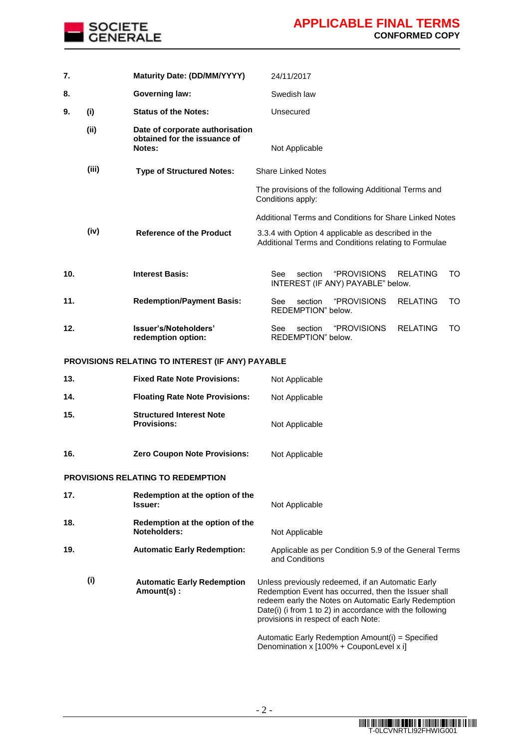

| Swedish law<br><b>Governing law:</b><br>8.<br>(i)<br><b>Status of the Notes:</b><br>9.<br>Unsecured<br>(ii)<br>Date of corporate authorisation<br>obtained for the issuance of<br>Notes:<br>Not Applicable<br>(iii)<br><b>Type of Structured Notes:</b><br><b>Share Linked Notes</b><br>The provisions of the following Additional Terms and<br>Conditions apply:<br>Additional Terms and Conditions for Share Linked Notes<br>(iv)<br><b>Reference of the Product</b><br>3.3.4 with Option 4 applicable as described in the<br>Additional Terms and Conditions relating to Formulae<br><b>Interest Basis:</b><br>10.<br>See<br>section<br>"PROVISIONS<br><b>RELATING</b><br>TO<br>INTEREST (IF ANY) PAYABLE" below.<br>11.<br><b>Redemption/Payment Basis:</b><br><i><b>"PROVISIONS</b></i><br><b>RELATING</b><br>TO<br>See<br>section<br>REDEMPTION" below.<br>12.<br>Issuer's/Noteholders'<br>"PROVISIONS<br><b>RELATING</b><br>section<br>TO<br>See<br>redemption option:<br>REDEMPTION" below. | 7. | Maturity Date: (DD/MM/YYYY) | 24/11/2017 |
|-----------------------------------------------------------------------------------------------------------------------------------------------------------------------------------------------------------------------------------------------------------------------------------------------------------------------------------------------------------------------------------------------------------------------------------------------------------------------------------------------------------------------------------------------------------------------------------------------------------------------------------------------------------------------------------------------------------------------------------------------------------------------------------------------------------------------------------------------------------------------------------------------------------------------------------------------------------------------------------------------------|----|-----------------------------|------------|
|                                                                                                                                                                                                                                                                                                                                                                                                                                                                                                                                                                                                                                                                                                                                                                                                                                                                                                                                                                                                     |    |                             |            |
|                                                                                                                                                                                                                                                                                                                                                                                                                                                                                                                                                                                                                                                                                                                                                                                                                                                                                                                                                                                                     |    |                             |            |
|                                                                                                                                                                                                                                                                                                                                                                                                                                                                                                                                                                                                                                                                                                                                                                                                                                                                                                                                                                                                     |    |                             |            |
|                                                                                                                                                                                                                                                                                                                                                                                                                                                                                                                                                                                                                                                                                                                                                                                                                                                                                                                                                                                                     |    |                             |            |
|                                                                                                                                                                                                                                                                                                                                                                                                                                                                                                                                                                                                                                                                                                                                                                                                                                                                                                                                                                                                     |    |                             |            |
|                                                                                                                                                                                                                                                                                                                                                                                                                                                                                                                                                                                                                                                                                                                                                                                                                                                                                                                                                                                                     |    |                             |            |
|                                                                                                                                                                                                                                                                                                                                                                                                                                                                                                                                                                                                                                                                                                                                                                                                                                                                                                                                                                                                     |    |                             |            |
|                                                                                                                                                                                                                                                                                                                                                                                                                                                                                                                                                                                                                                                                                                                                                                                                                                                                                                                                                                                                     |    |                             |            |
|                                                                                                                                                                                                                                                                                                                                                                                                                                                                                                                                                                                                                                                                                                                                                                                                                                                                                                                                                                                                     |    |                             |            |
|                                                                                                                                                                                                                                                                                                                                                                                                                                                                                                                                                                                                                                                                                                                                                                                                                                                                                                                                                                                                     |    |                             |            |
|                                                                                                                                                                                                                                                                                                                                                                                                                                                                                                                                                                                                                                                                                                                                                                                                                                                                                                                                                                                                     |    |                             |            |

## **PROVISIONS RELATING TO INTEREST (IF ANY) PAYABLE**

| 13. | <b>Fixed Rate Note Provisions:</b>                    | Not Applicable                                                                                                                                                                                                                                                                                                                                                      |
|-----|-------------------------------------------------------|---------------------------------------------------------------------------------------------------------------------------------------------------------------------------------------------------------------------------------------------------------------------------------------------------------------------------------------------------------------------|
| 14. | <b>Floating Rate Note Provisions:</b>                 | Not Applicable                                                                                                                                                                                                                                                                                                                                                      |
| 15. | <b>Structured Interest Note</b><br><b>Provisions:</b> | Not Applicable                                                                                                                                                                                                                                                                                                                                                      |
| 16. | <b>Zero Coupon Note Provisions:</b>                   | Not Applicable                                                                                                                                                                                                                                                                                                                                                      |
|     | PROVISIONS RELATING TO REDEMPTION                     |                                                                                                                                                                                                                                                                                                                                                                     |
| 17. | Redemption at the option of the<br>Issuer:            | Not Applicable                                                                                                                                                                                                                                                                                                                                                      |
| 18. | Redemption at the option of the<br>Noteholders:       | Not Applicable                                                                                                                                                                                                                                                                                                                                                      |
| 19. | <b>Automatic Early Redemption:</b>                    | Applicable as per Condition 5.9 of the General Terms<br>and Conditions                                                                                                                                                                                                                                                                                              |
| (i) | <b>Automatic Early Redemption</b><br>Amount(s):       | Unless previously redeemed, if an Automatic Early<br>Redemption Event has occurred, then the Issuer shall<br>redeem early the Notes on Automatic Early Redemption<br>Date(i) (i from 1 to 2) in accordance with the following<br>provisions in respect of each Note:<br>Automatic Early Redemption Amount(i) = Specified<br>Denomination x [100% + CouponLevel x i] |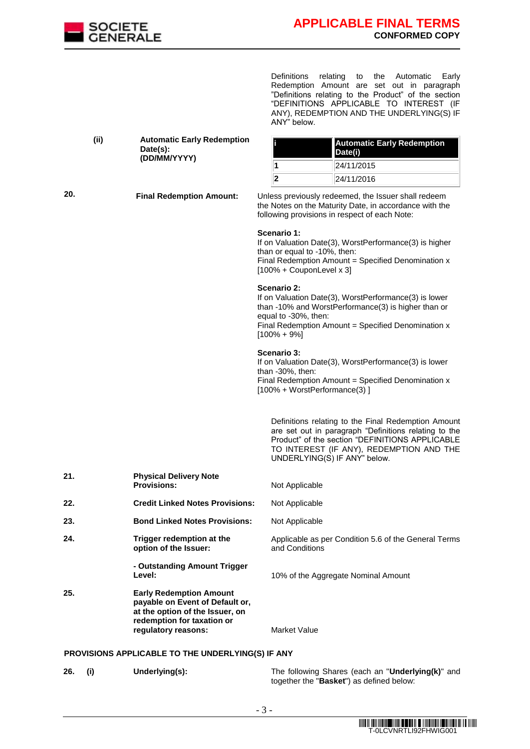

Definitions relating to the Automatic Early Redemption Amount are set out in paragraph "Definitions relating to the Product" of the section "DEFINITIONS APPLICABLE TO INTEREST (IF ANY), REDEMPTION AND THE UNDERLYING(S) IF ANY" below.

| (ii) | <b>Automatic Early Redemption</b><br>Date(s):<br>(DD/MM/YYYY)                                                                                             |                                                                                                                                                                                                                                                                                                                                                                                                                         | <b>Automatic Early Redemption</b><br>Date(i)                                                                                                                                                                                                |  |  |  |
|------|-----------------------------------------------------------------------------------------------------------------------------------------------------------|-------------------------------------------------------------------------------------------------------------------------------------------------------------------------------------------------------------------------------------------------------------------------------------------------------------------------------------------------------------------------------------------------------------------------|---------------------------------------------------------------------------------------------------------------------------------------------------------------------------------------------------------------------------------------------|--|--|--|
|      |                                                                                                                                                           | 1                                                                                                                                                                                                                                                                                                                                                                                                                       | 24/11/2015                                                                                                                                                                                                                                  |  |  |  |
|      |                                                                                                                                                           | 2                                                                                                                                                                                                                                                                                                                                                                                                                       | 24/11/2016                                                                                                                                                                                                                                  |  |  |  |
| 20.  | <b>Final Redemption Amount:</b>                                                                                                                           | Unless previously redeemed, the Issuer shall redeem<br>the Notes on the Maturity Date, in accordance with the<br>following provisions in respect of each Note:                                                                                                                                                                                                                                                          |                                                                                                                                                                                                                                             |  |  |  |
|      |                                                                                                                                                           | Scenario 1:<br>If on Valuation Date(3), WorstPerformance(3) is higher<br>than or equal to -10%, then:<br>Final Redemption Amount = Specified Denomination x<br>$[100\% + CouponLevel \times 3]$                                                                                                                                                                                                                         |                                                                                                                                                                                                                                             |  |  |  |
|      |                                                                                                                                                           | Scenario 2:<br>If on Valuation Date(3), WorstPerformance(3) is lower<br>than -10% and WorstPerformance(3) is higher than or<br>equal to -30%, then:<br>Final Redemption Amount = Specified Denomination x<br>$[100\% + 9\%]$<br><b>Scenario 3:</b><br>If on Valuation Date(3), WorstPerformance(3) is lower<br>than -30%, then:<br>Final Redemption Amount = Specified Denomination x<br>$[100% + WorstPerformance(3)]$ |                                                                                                                                                                                                                                             |  |  |  |
|      |                                                                                                                                                           |                                                                                                                                                                                                                                                                                                                                                                                                                         |                                                                                                                                                                                                                                             |  |  |  |
|      |                                                                                                                                                           |                                                                                                                                                                                                                                                                                                                                                                                                                         | Definitions relating to the Final Redemption Amount<br>are set out in paragraph "Definitions relating to the<br>Product" of the section "DEFINITIONS APPLICABLE<br>TO INTEREST (IF ANY), REDEMPTION AND THE<br>UNDERLYING(S) IF ANY" below. |  |  |  |
| 21.  | <b>Physical Delivery Note</b><br><b>Provisions:</b>                                                                                                       | Not Applicable                                                                                                                                                                                                                                                                                                                                                                                                          |                                                                                                                                                                                                                                             |  |  |  |
| 22.  | <b>Credit Linked Notes Provisions:</b>                                                                                                                    | Not Applicable                                                                                                                                                                                                                                                                                                                                                                                                          |                                                                                                                                                                                                                                             |  |  |  |
| 23.  | <b>Bond Linked Notes Provisions:</b>                                                                                                                      | Not Applicable                                                                                                                                                                                                                                                                                                                                                                                                          |                                                                                                                                                                                                                                             |  |  |  |
| 24.  | Trigger redemption at the<br>option of the Issuer:                                                                                                        | Applicable as per Condition 5.6 of the General Terms<br>and Conditions                                                                                                                                                                                                                                                                                                                                                  |                                                                                                                                                                                                                                             |  |  |  |
|      | - Outstanding Amount Trigger<br>Level:                                                                                                                    |                                                                                                                                                                                                                                                                                                                                                                                                                         | 10% of the Aggregate Nominal Amount                                                                                                                                                                                                         |  |  |  |
| 25.  | <b>Early Redemption Amount</b><br>payable on Event of Default or,<br>at the option of the Issuer, on<br>redemption for taxation or<br>regulatory reasons: | Market Value                                                                                                                                                                                                                                                                                                                                                                                                            |                                                                                                                                                                                                                                             |  |  |  |

#### **PROVISIONS APPLICABLE TO THE UNDERLYING(S) IF ANY**

**26. (i) Underlying(s):** The following Shares (each an "**Underlying(k)**" and together the "**Basket**") as defined below: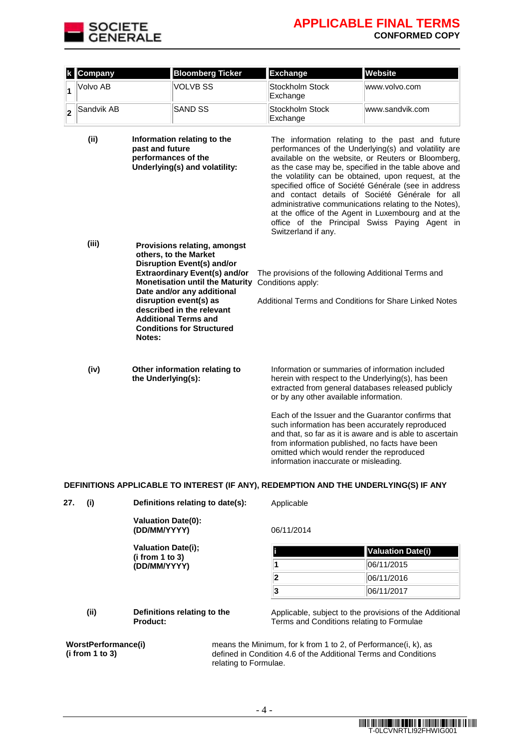

| $\mathbf k$    | Company    |                                                                                                                                                                                                                                                                                                                                                       | <b>Bloomberg Ticker</b>                                      | <b>Exchange</b>                                                                                                                                                                                                                                                                                                                                                                                                                                         | Website                                                                                                                                                                                                                                                                                                                                                                                                                                                                                                                                                   |  |  |  |
|----------------|------------|-------------------------------------------------------------------------------------------------------------------------------------------------------------------------------------------------------------------------------------------------------------------------------------------------------------------------------------------------------|--------------------------------------------------------------|---------------------------------------------------------------------------------------------------------------------------------------------------------------------------------------------------------------------------------------------------------------------------------------------------------------------------------------------------------------------------------------------------------------------------------------------------------|-----------------------------------------------------------------------------------------------------------------------------------------------------------------------------------------------------------------------------------------------------------------------------------------------------------------------------------------------------------------------------------------------------------------------------------------------------------------------------------------------------------------------------------------------------------|--|--|--|
| 1              | Volvo AB   |                                                                                                                                                                                                                                                                                                                                                       | <b>VOLVB SS</b>                                              | Stockholm Stock<br>Exchange                                                                                                                                                                                                                                                                                                                                                                                                                             | www.volvo.com                                                                                                                                                                                                                                                                                                                                                                                                                                                                                                                                             |  |  |  |
| $\overline{c}$ | Sandvik AB |                                                                                                                                                                                                                                                                                                                                                       | <b>SAND SS</b>                                               | Stockholm Stock<br>Exchange                                                                                                                                                                                                                                                                                                                                                                                                                             | www.sandvik.com                                                                                                                                                                                                                                                                                                                                                                                                                                                                                                                                           |  |  |  |
|                | (i)        | past and future<br>performances of the                                                                                                                                                                                                                                                                                                                | Information relating to the<br>Underlying(s) and volatility: | Switzerland if any.                                                                                                                                                                                                                                                                                                                                                                                                                                     | The information relating to the past and future<br>performances of the Underlying(s) and volatility are<br>available on the website, or Reuters or Bloomberg,<br>as the case may be, specified in the table above and<br>the volatility can be obtained, upon request, at the<br>specified office of Société Générale (see in address<br>and contact details of Société Générale for all<br>administrative communications relating to the Notes),<br>at the office of the Agent in Luxembourg and at the<br>office of the Principal Swiss Paying Agent in |  |  |  |
|                | (iii)      | <b>Provisions relating, amongst</b><br>others, to the Market<br><b>Disruption Event(s) and/or</b><br><b>Extraordinary Event(s) and/or</b><br><b>Monetisation until the Maturity</b><br>Date and/or any additional<br>disruption event(s) as<br>described in the relevant<br><b>Additional Terms and</b><br><b>Conditions for Structured</b><br>Notes: |                                                              | The provisions of the following Additional Terms and<br>Conditions apply:<br>Additional Terms and Conditions for Share Linked Notes                                                                                                                                                                                                                                                                                                                     |                                                                                                                                                                                                                                                                                                                                                                                                                                                                                                                                                           |  |  |  |
|                | (iv)       | the Underlying(s):                                                                                                                                                                                                                                                                                                                                    | Other information relating to                                | Information or summaries of information included<br>herein with respect to the Underlying(s), has been<br>extracted from general databases released publicly<br>or by any other available information.<br>Each of the Issuer and the Guarantor confirms that<br>such information has been accurately reproduced<br>from information published, no facts have been<br>omitted which would render the reproduced<br>information inaccurate or misleading. | and that, so far as it is aware and is able to ascertain                                                                                                                                                                                                                                                                                                                                                                                                                                                                                                  |  |  |  |

## **DEFINITIONS APPLICABLE TO INTEREST (IF ANY), REDEMPTION AND THE UNDERLYING(S) IF ANY**

| 27.                                           | (i)  | Definitions relating to date(s):                                                                                                                            |  |                                                                                                      |                          |  |  |
|-----------------------------------------------|------|-------------------------------------------------------------------------------------------------------------------------------------------------------------|--|------------------------------------------------------------------------------------------------------|--------------------------|--|--|
|                                               |      | <b>Valuation Date(0):</b><br>(DD/MM/YYYY)<br><b>Valuation Date(i);</b><br>(i from 1 to 3)<br>(DD/MM/YYYY)                                                   |  | 06/11/2014                                                                                           |                          |  |  |
|                                               |      |                                                                                                                                                             |  |                                                                                                      | <b>Valuation Date(i)</b> |  |  |
|                                               |      |                                                                                                                                                             |  |                                                                                                      | 06/11/2015               |  |  |
|                                               |      |                                                                                                                                                             |  | $\mathbf{2}$                                                                                         | 06/11/2016               |  |  |
|                                               |      |                                                                                                                                                             |  | 3                                                                                                    | 06/11/2017               |  |  |
|                                               | (ii) | Definitions relating to the<br><b>Product:</b>                                                                                                              |  | Applicable, subject to the provisions of the Additional<br>Terms and Conditions relating to Formulae |                          |  |  |
| <b>WorstPerformance(i)</b><br>(i from 1 to 3) |      | means the Minimum, for k from 1 to 2, of Performance (i, k), as<br>defined in Condition 4.6 of the Additional Terms and Conditions<br>relating to Formulae. |  |                                                                                                      |                          |  |  |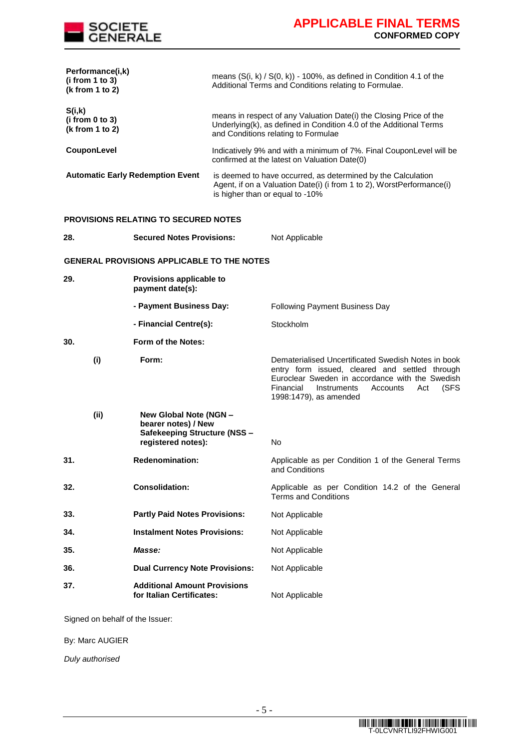

| Performance(i,k)<br>(i from 1 to 3)<br>(k from 1 to 2) |                                                                                  | means $(S(i, k) / S(0, k))$ - 100%, as defined in Condition 4.1 of the<br>Additional Terms and Conditions relating to Formulae.                                                                                                           |  |  |  |
|--------------------------------------------------------|----------------------------------------------------------------------------------|-------------------------------------------------------------------------------------------------------------------------------------------------------------------------------------------------------------------------------------------|--|--|--|
| S(i,k)<br>(i from 0 to 3)<br>(k from 1 to 2)           |                                                                                  | means in respect of any Valuation Date(i) the Closing Price of the<br>Underlying(k), as defined in Condition 4.0 of the Additional Terms<br>and Conditions relating to Formulae                                                           |  |  |  |
| CouponLevel                                            |                                                                                  | Indicatively 9% and with a minimum of 7%. Final CouponLevel will be<br>confirmed at the latest on Valuation Date(0)                                                                                                                       |  |  |  |
|                                                        | <b>Automatic Early Redemption Event</b>                                          | is deemed to have occurred, as determined by the Calculation<br>Agent, if on a Valuation Date(i) (i from 1 to 2), WorstPerformance(i)<br>is higher than or equal to -10%                                                                  |  |  |  |
|                                                        | <b>PROVISIONS RELATING TO SECURED NOTES</b>                                      |                                                                                                                                                                                                                                           |  |  |  |
| 28.                                                    | <b>Secured Notes Provisions:</b>                                                 | Not Applicable                                                                                                                                                                                                                            |  |  |  |
|                                                        | <b>GENERAL PROVISIONS APPLICABLE TO THE NOTES</b>                                |                                                                                                                                                                                                                                           |  |  |  |
| 29.                                                    | Provisions applicable to<br>payment date(s):                                     |                                                                                                                                                                                                                                           |  |  |  |
|                                                        | - Payment Business Day:                                                          | <b>Following Payment Business Day</b>                                                                                                                                                                                                     |  |  |  |
|                                                        | - Financial Centre(s):                                                           | Stockholm                                                                                                                                                                                                                                 |  |  |  |
| 30.                                                    | Form of the Notes:                                                               |                                                                                                                                                                                                                                           |  |  |  |
| (i)                                                    | Form:                                                                            | Dematerialised Uncertificated Swedish Notes in book<br>entry form issued, cleared and settled through<br>Euroclear Sweden in accordance with the Swedish<br>Financial<br>Instruments<br>Accounts<br>(SFS<br>Act<br>1998:1479), as amended |  |  |  |
| (ii)                                                   | New Global Note (NGN -                                                           |                                                                                                                                                                                                                                           |  |  |  |
|                                                        | bearer notes) / New<br><b>Safekeeping Structure (NSS -</b><br>registered notes): | No                                                                                                                                                                                                                                        |  |  |  |
| 31.                                                    | <b>Redenomination:</b>                                                           | Applicable as per Condition 1 of the General Terms<br>and Conditions                                                                                                                                                                      |  |  |  |
| 32.                                                    | <b>Consolidation:</b>                                                            | Applicable as per Condition 14.2 of the General<br><b>Terms and Conditions</b>                                                                                                                                                            |  |  |  |
| 33.                                                    | <b>Partly Paid Notes Provisions:</b>                                             | Not Applicable                                                                                                                                                                                                                            |  |  |  |
| 34.                                                    | <b>Instalment Notes Provisions:</b>                                              | Not Applicable                                                                                                                                                                                                                            |  |  |  |
| 35.                                                    | Masse:                                                                           | Not Applicable                                                                                                                                                                                                                            |  |  |  |
| 36.                                                    | <b>Dual Currency Note Provisions:</b>                                            | Not Applicable                                                                                                                                                                                                                            |  |  |  |
| 37.                                                    | <b>Additional Amount Provisions</b><br>for Italian Certificates:                 | Not Applicable                                                                                                                                                                                                                            |  |  |  |

Signed on behalf of the Issuer:

By: Marc AUGIER

*Duly authorised*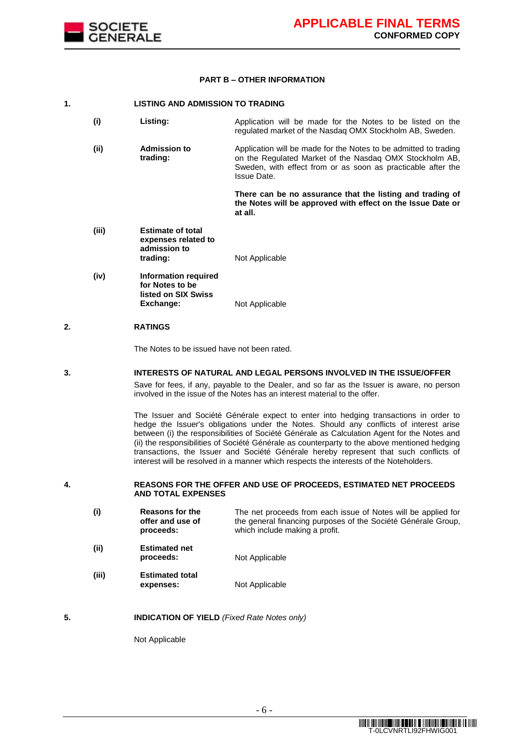

#### **PART B – OTHER INFORMATION**

#### **1. LISTING AND ADMISSION TO TRADING**

| (i)   | Listing:                                                                    | Application will be made for the Notes to be listed on the<br>regulated market of the Nasdaq OMX Stockholm AB, Sweden.                                                                                     |
|-------|-----------------------------------------------------------------------------|------------------------------------------------------------------------------------------------------------------------------------------------------------------------------------------------------------|
| (ii)  | <b>Admission to</b><br>trading:                                             | Application will be made for the Notes to be admitted to trading<br>on the Regulated Market of the Nasdag OMX Stockholm AB,<br>Sweden, with effect from or as soon as practicable after the<br>Issue Date. |
|       |                                                                             | There can be no assurance that the listing and trading of<br>the Notes will be approved with effect on the Issue Date or<br>at all.                                                                        |
| (iii) | <b>Estimate of total</b><br>expenses related to<br>admission to<br>trading: | Not Applicable                                                                                                                                                                                             |
| (iv)  | Information required<br>for Notes to be<br>listed on SIX Swiss<br>Exchange: | Not Applicable                                                                                                                                                                                             |

#### **2. RATINGS**

The Notes to be issued have not been rated.

**3. INTERESTS OF NATURAL AND LEGAL PERSONS INVOLVED IN THE ISSUE/OFFER**

Save for fees, if any, payable to the Dealer, and so far as the Issuer is aware, no person involved in the issue of the Notes has an interest material to the offer.

The Issuer and Société Générale expect to enter into hedging transactions in order to hedge the Issuer's obligations under the Notes. Should any conflicts of interest arise between (i) the responsibilities of Société Générale as Calculation Agent for the Notes and (ii) the responsibilities of Société Générale as counterparty to the above mentioned hedging transactions, the Issuer and Société Générale hereby represent that such conflicts of interest will be resolved in a manner which respects the interests of the Noteholders.

#### **4. REASONS FOR THE OFFER AND USE OF PROCEEDS, ESTIMATED NET PROCEEDS AND TOTAL EXPENSES**

| (i)   | Reasons for the<br>offer and use of<br>proceeds: | The net proceeds from each issue of Notes will be applied for<br>the general financing purposes of the Société Générale Group,<br>which include making a profit. |
|-------|--------------------------------------------------|------------------------------------------------------------------------------------------------------------------------------------------------------------------|
| (i)   | <b>Estimated net</b><br>proceeds:                | Not Applicable                                                                                                                                                   |
| (iii) | <b>Estimated total</b><br>expenses:              | Not Applicable                                                                                                                                                   |

**5. INDICATION OF YIELD** *(Fixed Rate Notes only)*

Not Applicable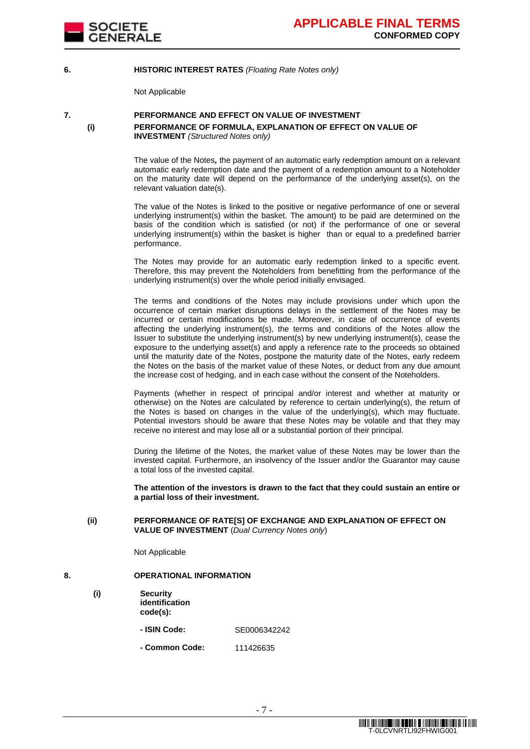

#### **6. HISTORIC INTEREST RATES** *(Floating Rate Notes only)*

Not Applicable

#### **7. PERFORMANCE AND EFFECT ON VALUE OF INVESTMENT (i) PERFORMANCE OF FORMULA, EXPLANATION OF EFFECT ON VALUE OF INVESTMENT** *(Structured Notes only)*

The value of the Notes*,* the payment of an automatic early redemption amount on a relevant automatic early redemption date and the payment of a redemption amount to a Noteholder on the maturity date will depend on the performance of the underlying asset(s), on the relevant valuation date(s).

The value of the Notes is linked to the positive or negative performance of one or several underlying instrument(s) within the basket. The amount) to be paid are determined on the basis of the condition which is satisfied (or not) if the performance of one or several underlying instrument(s) within the basket is higher than or equal to a predefined barrier performance.

The Notes may provide for an automatic early redemption linked to a specific event. Therefore, this may prevent the Noteholders from benefitting from the performance of the underlying instrument(s) over the whole period initially envisaged.

The terms and conditions of the Notes may include provisions under which upon the occurrence of certain market disruptions delays in the settlement of the Notes may be incurred or certain modifications be made. Moreover, in case of occurrence of events affecting the underlying instrument(s), the terms and conditions of the Notes allow the Issuer to substitute the underlying instrument(s) by new underlying instrument(s), cease the exposure to the underlying asset(s) and apply a reference rate to the proceeds so obtained until the maturity date of the Notes, postpone the maturity date of the Notes, early redeem the Notes on the basis of the market value of these Notes, or deduct from any due amount the increase cost of hedging, and in each case without the consent of the Noteholders.

Payments (whether in respect of principal and/or interest and whether at maturity or otherwise) on the Notes are calculated by reference to certain underlying(s), the return of the Notes is based on changes in the value of the underlying(s), which may fluctuate. Potential investors should be aware that these Notes may be volatile and that they may receive no interest and may lose all or a substantial portion of their principal.

During the lifetime of the Notes, the market value of these Notes may be lower than the invested capital. Furthermore, an insolvency of the Issuer and/or the Guarantor may cause a total loss of the invested capital.

**The attention of the investors is drawn to the fact that they could sustain an entire or a partial loss of their investment.**

#### **(ii) PERFORMANCE OF RATE[S] OF EXCHANGE AND EXPLANATION OF EFFECT ON VALUE OF INVESTMENT** (*Dual Currency Notes only*)

Not Applicable

#### **8. OPERATIONAL INFORMATION**

- **(i) Security identification code(s):**
	- **- ISIN Code:** SE0006342242
	- **- Common Code:** 111426635

<u> 1111 | 1121 | 1121 | 1221 | 1232 | 1233 | 1244 | 1255 | 1265 | 1276 | 1287 | 1288 | 1289 | 1289 | 1289 | 1289 </u> T-0LCVNRTLI92FHWIG001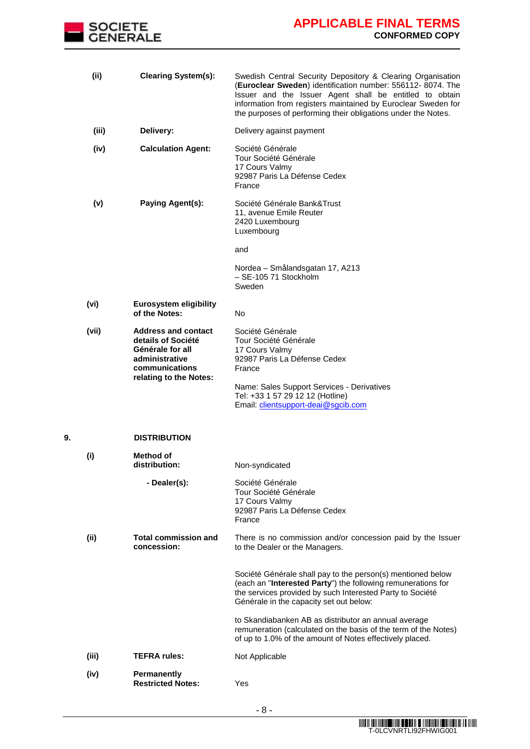

|    | (ii)  | <b>Clearing System(s):</b>                                                                                                         | Swedish Central Security Depository & Clearing Organisation<br>(Euroclear Sweden) identification number: 556112-8074. The<br>Issuer and the Issuer Agent shall be entitled to obtain<br>information from registers maintained by Euroclear Sweden for<br>the purposes of performing their obligations under the Notes. |
|----|-------|------------------------------------------------------------------------------------------------------------------------------------|------------------------------------------------------------------------------------------------------------------------------------------------------------------------------------------------------------------------------------------------------------------------------------------------------------------------|
|    | (iii) | Delivery:                                                                                                                          | Delivery against payment                                                                                                                                                                                                                                                                                               |
|    | (iv)  | <b>Calculation Agent:</b>                                                                                                          | Société Générale<br>Tour Société Générale<br>17 Cours Valmy<br>92987 Paris La Défense Cedex<br>France                                                                                                                                                                                                                  |
|    | (v)   | <b>Paying Agent(s):</b>                                                                                                            | Société Générale Bank&Trust<br>11, avenue Emile Reuter<br>2420 Luxembourg<br>Luxembourg                                                                                                                                                                                                                                |
|    |       |                                                                                                                                    | and                                                                                                                                                                                                                                                                                                                    |
|    |       |                                                                                                                                    | Nordea - Smålandsgatan 17, A213<br>- SE-105 71 Stockholm<br>Sweden                                                                                                                                                                                                                                                     |
|    | (vi)  | <b>Eurosystem eligibility</b><br>of the Notes:                                                                                     | No                                                                                                                                                                                                                                                                                                                     |
|    | (vii) | <b>Address and contact</b><br>details of Société<br>Générale for all<br>administrative<br>communications<br>relating to the Notes: | Société Générale<br>Tour Société Générale<br>17 Cours Valmy<br>92987 Paris La Défense Cedex<br>France<br>Name: Sales Support Services - Derivatives                                                                                                                                                                    |
|    |       |                                                                                                                                    | Tel: +33 1 57 29 12 12 (Hotline)<br>Email: clientsupport-deai@sgcib.com                                                                                                                                                                                                                                                |
| 9. |       | <b>DISTRIBUTION</b>                                                                                                                |                                                                                                                                                                                                                                                                                                                        |
|    | (i)   | Method of<br>distribution:                                                                                                         | Non-syndicated                                                                                                                                                                                                                                                                                                         |
|    |       | - Dealer(s):                                                                                                                       | Société Générale<br>Tour Société Générale<br>17 Cours Valmy<br>92987 Paris La Défense Cedex<br>France                                                                                                                                                                                                                  |
|    | (i)   | <b>Total commission and</b><br>concession:                                                                                         | There is no commission and/or concession paid by the Issuer<br>to the Dealer or the Managers.                                                                                                                                                                                                                          |
|    |       |                                                                                                                                    | Société Générale shall pay to the person(s) mentioned below<br>(each an "Interested Party") the following remunerations for<br>the services provided by such Interested Party to Société<br>Générale in the capacity set out below:                                                                                    |
|    |       |                                                                                                                                    | to Skandiabanken AB as distributor an annual average<br>remuneration (calculated on the basis of the term of the Notes)<br>of up to 1.0% of the amount of Notes effectively placed.                                                                                                                                    |
|    | (iii) | <b>TEFRA rules:</b>                                                                                                                | Not Applicable                                                                                                                                                                                                                                                                                                         |
|    | (iv)  | Permanently<br><b>Restricted Notes:</b>                                                                                            | Yes                                                                                                                                                                                                                                                                                                                    |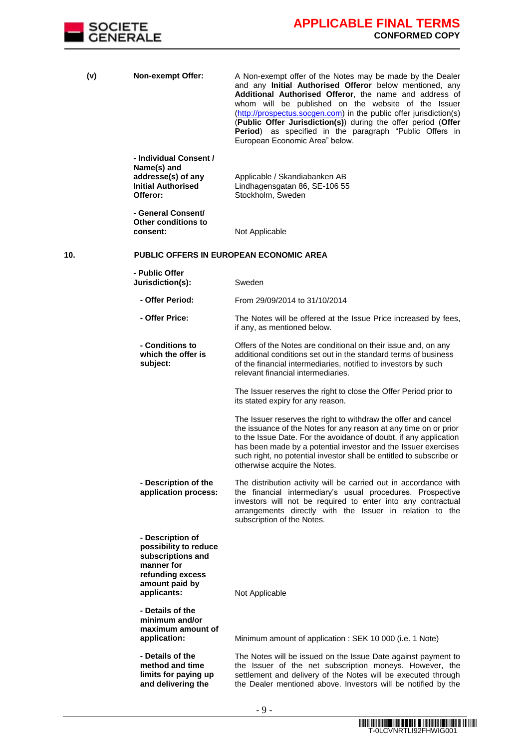

| (v) | <b>Non-exempt Offer:</b>                                                                                                          | A Non-exempt offer of the Notes may be made by the Dealer<br>and any Initial Authorised Offeror below mentioned, any<br>Additional Authorised Offeror, the name and address of<br>whom will be published on the website of the Issuer<br>(http://prospectus.socgen.com) in the public offer jurisdiction(s)<br>(Public Offer Jurisdiction(s)) during the offer period (Offer<br>Period) as specified in the paragraph "Public Offers in<br>European Economic Area" below. |
|-----|-----------------------------------------------------------------------------------------------------------------------------------|---------------------------------------------------------------------------------------------------------------------------------------------------------------------------------------------------------------------------------------------------------------------------------------------------------------------------------------------------------------------------------------------------------------------------------------------------------------------------|
|     | - Individual Consent /<br>Name(s) and<br>addresse(s) of any<br><b>Initial Authorised</b><br>Offeror:                              | Applicable / Skandiabanken AB<br>Lindhagensgatan 86, SE-106 55<br>Stockholm, Sweden                                                                                                                                                                                                                                                                                                                                                                                       |
|     | - General Consent/<br><b>Other conditions to</b><br>consent:                                                                      | Not Applicable                                                                                                                                                                                                                                                                                                                                                                                                                                                            |
| 10. |                                                                                                                                   | <b>PUBLIC OFFERS IN EUROPEAN ECONOMIC AREA</b>                                                                                                                                                                                                                                                                                                                                                                                                                            |
|     | - Public Offer<br>Jurisdiction(s):                                                                                                | Sweden                                                                                                                                                                                                                                                                                                                                                                                                                                                                    |
|     | - Offer Period:                                                                                                                   | From 29/09/2014 to 31/10/2014                                                                                                                                                                                                                                                                                                                                                                                                                                             |
|     | - Offer Price:                                                                                                                    | The Notes will be offered at the Issue Price increased by fees,<br>if any, as mentioned below.                                                                                                                                                                                                                                                                                                                                                                            |
|     | - Conditions to<br>which the offer is<br>subject:                                                                                 | Offers of the Notes are conditional on their issue and, on any<br>additional conditions set out in the standard terms of business<br>of the financial intermediaries, notified to investors by such<br>relevant financial intermediaries.                                                                                                                                                                                                                                 |
|     |                                                                                                                                   | The Issuer reserves the right to close the Offer Period prior to<br>its stated expiry for any reason.                                                                                                                                                                                                                                                                                                                                                                     |
|     |                                                                                                                                   | The Issuer reserves the right to withdraw the offer and cancel<br>the issuance of the Notes for any reason at any time on or prior<br>to the Issue Date. For the avoidance of doubt, if any application<br>has been made by a potential investor and the Issuer exercises<br>such right, no potential investor shall be entitled to subscribe or<br>otherwise acquire the Notes.                                                                                          |
|     | - Description of the<br>application process:                                                                                      | The distribution activity will be carried out in accordance with<br>the financial intermediary's usual procedures. Prospective<br>investors will not be required to enter into any contractual<br>arrangements directly with the Issuer in relation to the<br>subscription of the Notes.                                                                                                                                                                                  |
|     | - Description of<br>possibility to reduce<br>subscriptions and<br>manner for<br>refunding excess<br>amount paid by<br>applicants: | Not Applicable                                                                                                                                                                                                                                                                                                                                                                                                                                                            |
|     | - Details of the<br>minimum and/or<br>maximum amount of<br>application:                                                           | Minimum amount of application : SEK 10 000 (i.e. 1 Note)                                                                                                                                                                                                                                                                                                                                                                                                                  |
|     | - Details of the<br>method and time<br>limits for paying up<br>and delivering the                                                 | The Notes will be issued on the Issue Date against payment to<br>the Issuer of the net subscription moneys. However, the<br>settlement and delivery of the Notes will be executed through<br>the Dealer mentioned above. Investors will be notified by the                                                                                                                                                                                                                |

- 9 -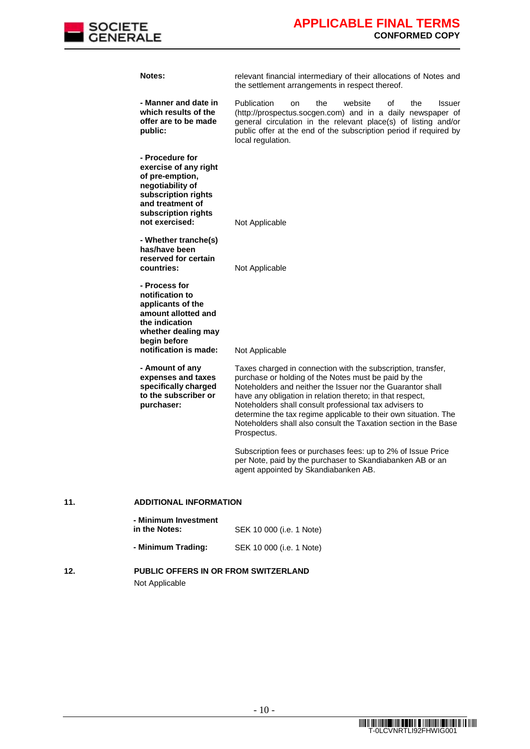

| Notes:                        |                                                                                                                                                                     | relevant financial intermediary of their allocations of Notes and<br>the settlement arrangements in respect thereof.                                                                                                                                                                                                                                                                                                                                           |    |     |         |    |     |               |
|-------------------------------|---------------------------------------------------------------------------------------------------------------------------------------------------------------------|----------------------------------------------------------------------------------------------------------------------------------------------------------------------------------------------------------------------------------------------------------------------------------------------------------------------------------------------------------------------------------------------------------------------------------------------------------------|----|-----|---------|----|-----|---------------|
| public:                       | - Manner and date in<br>which results of the<br>offer are to be made                                                                                                | Publication<br>(http://prospectus.socgen.com) and in a daily newspaper of<br>general circulation in the relevant place(s) of listing and/or<br>public offer at the end of the subscription period if required by<br>local regulation.                                                                                                                                                                                                                          | on | the | website | οf | the | <b>Issuer</b> |
|                               | - Procedure for<br>exercise of any right<br>of pre-emption,<br>negotiability of<br>subscription rights<br>and treatment of<br>subscription rights<br>not exercised: | Not Applicable                                                                                                                                                                                                                                                                                                                                                                                                                                                 |    |     |         |    |     |               |
| countries:                    | - Whether tranche(s)<br>has/have been<br>reserved for certain                                                                                                       | Not Applicable                                                                                                                                                                                                                                                                                                                                                                                                                                                 |    |     |         |    |     |               |
| - Process for<br>begin before | notification to<br>applicants of the<br>amount allotted and<br>the indication<br>whether dealing may<br>notification is made:                                       | Not Applicable                                                                                                                                                                                                                                                                                                                                                                                                                                                 |    |     |         |    |     |               |
| purchaser:                    | - Amount of any<br>expenses and taxes<br>specifically charged<br>to the subscriber or                                                                               | Taxes charged in connection with the subscription, transfer,<br>purchase or holding of the Notes must be paid by the<br>Noteholders and neither the Issuer nor the Guarantor shall<br>have any obligation in relation thereto; in that respect,<br>Noteholders shall consult professional tax advisers to<br>determine the tax regime applicable to their own situation. The<br>Noteholders shall also consult the Taxation section in the Base<br>Prospectus. |    |     |         |    |     |               |
|                               |                                                                                                                                                                     | Subscription fees or purchases fees: up to 2% of Issue Price<br>per Note, paid by the purchaser to Skandiabanken AB or an<br>agent appointed by Skandiabanken AB.                                                                                                                                                                                                                                                                                              |    |     |         |    |     |               |
| 11.                           | <b>ADDITIONAL INFORMATION</b>                                                                                                                                       |                                                                                                                                                                                                                                                                                                                                                                                                                                                                |    |     |         |    |     |               |

| - Minimum Investment<br>in the Notes:                            | SEK 10 000 (i.e. 1 Note)         |
|------------------------------------------------------------------|----------------------------------|
| - Minimum Trading:                                               | SEK 10 000 ( <i>i.e.</i> 1 Note) |
| <b>PUBLIC OFFERS IN OR FROM SWITZERLAND</b><br>والمصارير المساري |                                  |

## **12. PUBLIC OFFERS IN OR FROM SWITZERLAND**

Not Applicable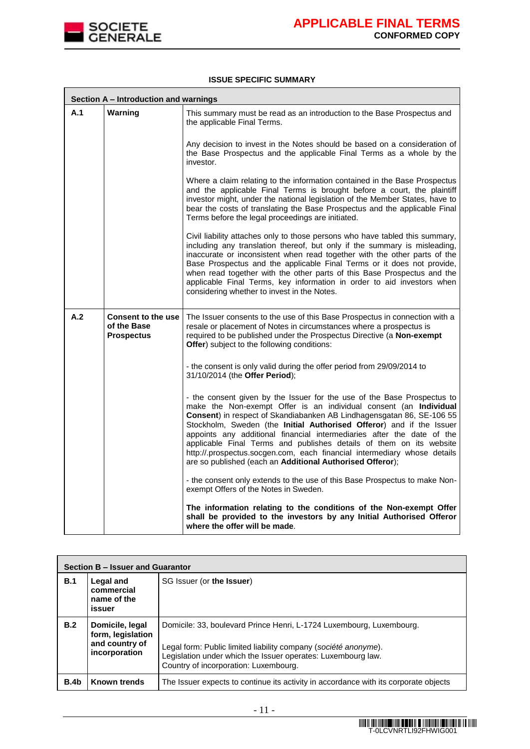

#### **ISSUE SPECIFIC SUMMARY**

|     | Section A - Introduction and warnings                         |                                                                                                                                                                                                                                                                                                                                                                                                                                                                                                                                                                                         |  |  |  |
|-----|---------------------------------------------------------------|-----------------------------------------------------------------------------------------------------------------------------------------------------------------------------------------------------------------------------------------------------------------------------------------------------------------------------------------------------------------------------------------------------------------------------------------------------------------------------------------------------------------------------------------------------------------------------------------|--|--|--|
| A.1 | Warning                                                       | This summary must be read as an introduction to the Base Prospectus and<br>the applicable Final Terms.                                                                                                                                                                                                                                                                                                                                                                                                                                                                                  |  |  |  |
|     |                                                               | Any decision to invest in the Notes should be based on a consideration of<br>the Base Prospectus and the applicable Final Terms as a whole by the<br>investor.                                                                                                                                                                                                                                                                                                                                                                                                                          |  |  |  |
|     |                                                               | Where a claim relating to the information contained in the Base Prospectus<br>and the applicable Final Terms is brought before a court, the plaintiff<br>investor might, under the national legislation of the Member States, have to<br>bear the costs of translating the Base Prospectus and the applicable Final<br>Terms before the legal proceedings are initiated.                                                                                                                                                                                                                |  |  |  |
|     |                                                               | Civil liability attaches only to those persons who have tabled this summary,<br>including any translation thereof, but only if the summary is misleading,<br>inaccurate or inconsistent when read together with the other parts of the<br>Base Prospectus and the applicable Final Terms or it does not provide,<br>when read together with the other parts of this Base Prospectus and the<br>applicable Final Terms, key information in order to aid investors when<br>considering whether to invest in the Notes.                                                                    |  |  |  |
| A.2 | <b>Consent to the use</b><br>of the Base<br><b>Prospectus</b> | The Issuer consents to the use of this Base Prospectus in connection with a<br>resale or placement of Notes in circumstances where a prospectus is<br>required to be published under the Prospectus Directive (a Non-exempt<br>Offer) subject to the following conditions:                                                                                                                                                                                                                                                                                                              |  |  |  |
|     |                                                               | - the consent is only valid during the offer period from 29/09/2014 to<br>31/10/2014 (the Offer Period);                                                                                                                                                                                                                                                                                                                                                                                                                                                                                |  |  |  |
|     |                                                               | - the consent given by the Issuer for the use of the Base Prospectus to<br>make the Non-exempt Offer is an individual consent (an Individual<br>Consent) in respect of Skandiabanken AB Lindhagensgatan 86, SE-106 55<br>Stockholm, Sweden (the Initial Authorised Offeror) and if the Issuer<br>appoints any additional financial intermediaries after the date of the<br>applicable Final Terms and publishes details of them on its website<br>http://.prospectus.socgen.com, each financial intermediary whose details<br>are so published (each an Additional Authorised Offeror); |  |  |  |
|     |                                                               | - the consent only extends to the use of this Base Prospectus to make Non-<br>exempt Offers of the Notes in Sweden.                                                                                                                                                                                                                                                                                                                                                                                                                                                                     |  |  |  |
|     |                                                               | The information relating to the conditions of the Non-exempt Offer<br>shall be provided to the investors by any Initial Authorised Offeror<br>where the offer will be made.                                                                                                                                                                                                                                                                                                                                                                                                             |  |  |  |

| Section B - Issuer and Guarantor |                                                                         |                                                                                                                                                                                                                                                  |  |  |  |
|----------------------------------|-------------------------------------------------------------------------|--------------------------------------------------------------------------------------------------------------------------------------------------------------------------------------------------------------------------------------------------|--|--|--|
| B.1                              | Legal and<br>commercial<br>name of the<br>issuer                        | SG Issuer (or the Issuer)                                                                                                                                                                                                                        |  |  |  |
| B.2                              | Domicile, legal<br>form, legislation<br>and country of<br>incorporation | Domicile: 33, boulevard Prince Henri, L-1724 Luxembourg, Luxembourg.<br>Legal form: Public limited liability company (société anonyme).<br>Legislation under which the Issuer operates: Luxembourg law.<br>Country of incorporation: Luxembourg. |  |  |  |
| B.4b                             | Known trends                                                            | The Issuer expects to continue its activity in accordance with its corporate objects                                                                                                                                                             |  |  |  |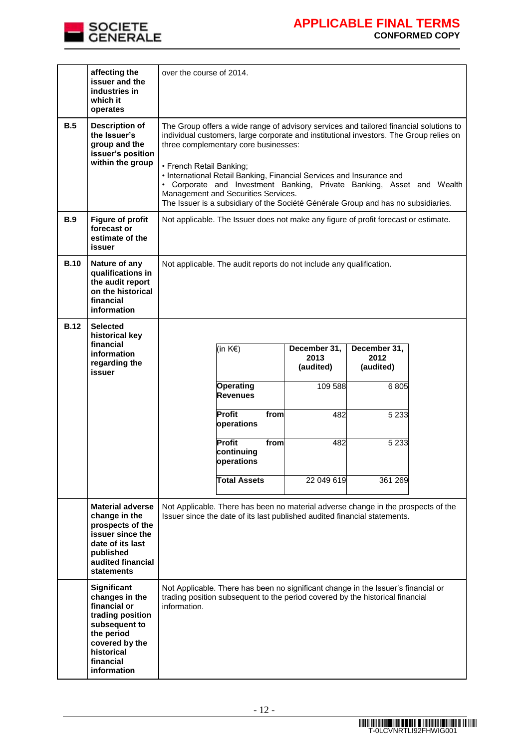

|             | affecting the<br>issuer and the<br>industries in<br>which it<br>operates                                                                                            | over the course of 2014.                                                                                                                                                                                                                                                                                                                                                                                                                                                                                                          |                                                                                                                                                                    |                                                                          |                                                                            |  |  |
|-------------|---------------------------------------------------------------------------------------------------------------------------------------------------------------------|-----------------------------------------------------------------------------------------------------------------------------------------------------------------------------------------------------------------------------------------------------------------------------------------------------------------------------------------------------------------------------------------------------------------------------------------------------------------------------------------------------------------------------------|--------------------------------------------------------------------------------------------------------------------------------------------------------------------|--------------------------------------------------------------------------|----------------------------------------------------------------------------|--|--|
| B.5         | <b>Description of</b><br>the Issuer's<br>group and the<br>issuer's position<br>within the group                                                                     | The Group offers a wide range of advisory services and tailored financial solutions to<br>individual customers, large corporate and institutional investors. The Group relies on<br>three complementary core businesses:<br>• French Retail Banking;<br>• International Retail Banking, Financial Services and Insurance and<br>• Corporate and Investment Banking, Private Banking, Asset and Wealth<br>Management and Securities Services.<br>The Issuer is a subsidiary of the Société Générale Group and has no subsidiaries. |                                                                                                                                                                    |                                                                          |                                                                            |  |  |
| B.9         | <b>Figure of profit</b><br>forecast or<br>estimate of the<br>issuer                                                                                                 |                                                                                                                                                                                                                                                                                                                                                                                                                                                                                                                                   | Not applicable. The Issuer does not make any figure of profit forecast or estimate.                                                                                |                                                                          |                                                                            |  |  |
| <b>B.10</b> | Nature of any<br>qualifications in<br>the audit report<br>on the historical<br>financial<br>information                                                             | Not applicable. The audit reports do not include any qualification.                                                                                                                                                                                                                                                                                                                                                                                                                                                               |                                                                                                                                                                    |                                                                          |                                                                            |  |  |
| <b>B.12</b> | <b>Selected</b><br>historical key<br>financial<br>information<br>regarding the<br>issuer                                                                            |                                                                                                                                                                                                                                                                                                                                                                                                                                                                                                                                   | (in $K \in \mathbb{R}$ )<br>Operating<br><b>Revenues</b><br>Profit<br>from<br>operations<br>Profit<br>from<br>continuing<br>operations<br><b>Total Assets</b>      | December 31,<br>2013<br>(audited)<br>109 588<br>482<br>482<br>22 049 619 | December 31,<br>2012<br>(audited)<br>6805<br>5 2 3 3<br>5 2 3 3<br>361 269 |  |  |
|             | <b>Material adverse</b><br>change in the<br>prospects of the<br>issuer since the<br>date of its last<br>published<br>audited financial<br><b>statements</b>         |                                                                                                                                                                                                                                                                                                                                                                                                                                                                                                                                   | Not Applicable. There has been no material adverse change in the prospects of the<br>Issuer since the date of its last published audited financial statements.     |                                                                          |                                                                            |  |  |
|             | <b>Significant</b><br>changes in the<br>financial or<br>trading position<br>subsequent to<br>the period<br>covered by the<br>historical<br>financial<br>information | information.                                                                                                                                                                                                                                                                                                                                                                                                                                                                                                                      | Not Applicable. There has been no significant change in the Issuer's financial or<br>trading position subsequent to the period covered by the historical financial |                                                                          |                                                                            |  |  |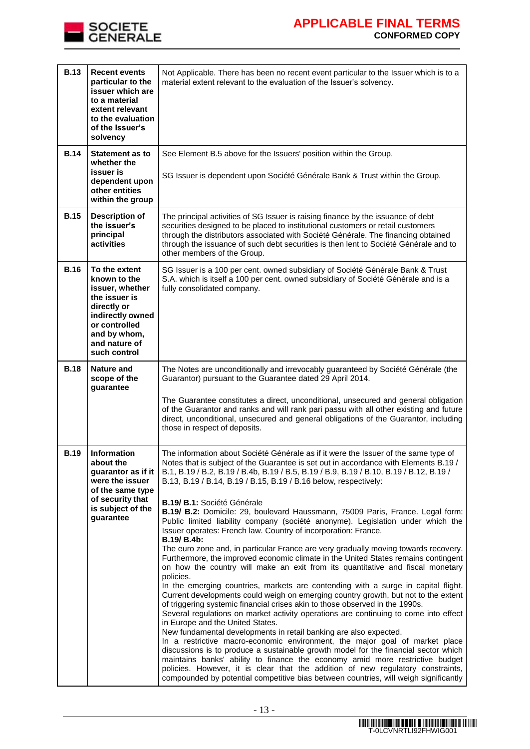

# **APPLICABLE FINAL TERMS CONFORMED COPY**

| <b>B.13</b> | <b>Recent events</b><br>particular to the<br>issuer which are<br>to a material<br>extent relevant<br>to the evaluation<br>of the Issuer's<br>solvency                  | Not Applicable. There has been no recent event particular to the Issuer which is to a<br>material extent relevant to the evaluation of the Issuer's solvency.                                                                                                                                                                                                                                                                                                                                                                                                                                                                                                                                                                                                                                                                                                                                                                                                                                                                                                                                                                                                                                                                                                                                                                                                                                                                                                                                                                                                                                                                                                                                                                                                                                           |
|-------------|------------------------------------------------------------------------------------------------------------------------------------------------------------------------|---------------------------------------------------------------------------------------------------------------------------------------------------------------------------------------------------------------------------------------------------------------------------------------------------------------------------------------------------------------------------------------------------------------------------------------------------------------------------------------------------------------------------------------------------------------------------------------------------------------------------------------------------------------------------------------------------------------------------------------------------------------------------------------------------------------------------------------------------------------------------------------------------------------------------------------------------------------------------------------------------------------------------------------------------------------------------------------------------------------------------------------------------------------------------------------------------------------------------------------------------------------------------------------------------------------------------------------------------------------------------------------------------------------------------------------------------------------------------------------------------------------------------------------------------------------------------------------------------------------------------------------------------------------------------------------------------------------------------------------------------------------------------------------------------------|
| <b>B.14</b> | <b>Statement as to</b><br>whether the<br>issuer is<br>dependent upon<br>other entities<br>within the group                                                             | See Element B.5 above for the Issuers' position within the Group.<br>SG Issuer is dependent upon Société Générale Bank & Trust within the Group.                                                                                                                                                                                                                                                                                                                                                                                                                                                                                                                                                                                                                                                                                                                                                                                                                                                                                                                                                                                                                                                                                                                                                                                                                                                                                                                                                                                                                                                                                                                                                                                                                                                        |
| <b>B.15</b> | <b>Description of</b><br>the issuer's<br>principal<br>activities                                                                                                       | The principal activities of SG Issuer is raising finance by the issuance of debt<br>securities designed to be placed to institutional customers or retail customers<br>through the distributors associated with Société Générale. The financing obtained<br>through the issuance of such debt securities is then lent to Société Générale and to<br>other members of the Group.                                                                                                                                                                                                                                                                                                                                                                                                                                                                                                                                                                                                                                                                                                                                                                                                                                                                                                                                                                                                                                                                                                                                                                                                                                                                                                                                                                                                                         |
| <b>B.16</b> | To the extent<br>known to the<br>issuer, whether<br>the issuer is<br>directly or<br>indirectly owned<br>or controlled<br>and by whom,<br>and nature of<br>such control | SG Issuer is a 100 per cent. owned subsidiary of Société Générale Bank & Trust<br>S.A. which is itself a 100 per cent. owned subsidiary of Société Générale and is a<br>fully consolidated company.                                                                                                                                                                                                                                                                                                                                                                                                                                                                                                                                                                                                                                                                                                                                                                                                                                                                                                                                                                                                                                                                                                                                                                                                                                                                                                                                                                                                                                                                                                                                                                                                     |
| <b>B.18</b> | <b>Nature and</b><br>scope of the<br>guarantee                                                                                                                         | The Notes are unconditionally and irrevocably guaranteed by Société Générale (the<br>Guarantor) pursuant to the Guarantee dated 29 April 2014.<br>The Guarantee constitutes a direct, unconditional, unsecured and general obligation<br>of the Guarantor and ranks and will rank pari passu with all other existing and future<br>direct, unconditional, unsecured and general obligations of the Guarantor, including<br>those in respect of deposits.                                                                                                                                                                                                                                                                                                                                                                                                                                                                                                                                                                                                                                                                                                                                                                                                                                                                                                                                                                                                                                                                                                                                                                                                                                                                                                                                                |
| <b>B.19</b> | <b>Information</b><br>about the<br>guarantor as if it<br>were the issuer<br>of the same type<br>of security that<br>is subject of the<br>guarantee                     | The information about Société Générale as if it were the Issuer of the same type of<br>Notes that is subject of the Guarantee is set out in accordance with Elements B.19 /<br>B.1, B.19 / B.2, B.19 / B.4b, B.19 / B.5, B.19 / B.9, B.19 / B.10, B.19 / B.12, B.19 /<br>B.13, B.19 / B.14, B.19 / B.15, B.19 / B.16 below, respectively:<br>B.19/ B.1: Société Générale<br>B.19/ B.2: Domicile: 29, boulevard Haussmann, 75009 Paris, France. Legal form:<br>Public limited liability company (société anonyme). Legislation under which the<br>Issuer operates: French law. Country of incorporation: France.<br>B.19/ B.4b:<br>The euro zone and, in particular France are very gradually moving towards recovery.<br>Furthermore, the improved economic climate in the United States remains contingent<br>on how the country will make an exit from its quantitative and fiscal monetary<br>policies.<br>In the emerging countries, markets are contending with a surge in capital flight.<br>Current developments could weigh on emerging country growth, but not to the extent<br>of triggering systemic financial crises akin to those observed in the 1990s.<br>Several regulations on market activity operations are continuing to come into effect<br>in Europe and the United States.<br>New fundamental developments in retail banking are also expected.<br>In a restrictive macro-economic environment, the major goal of market place<br>discussions is to produce a sustainable growth model for the financial sector which<br>maintains banks' ability to finance the economy amid more restrictive budget<br>policies. However, it is clear that the addition of new regulatory constraints,<br>compounded by potential competitive bias between countries, will weigh significantly |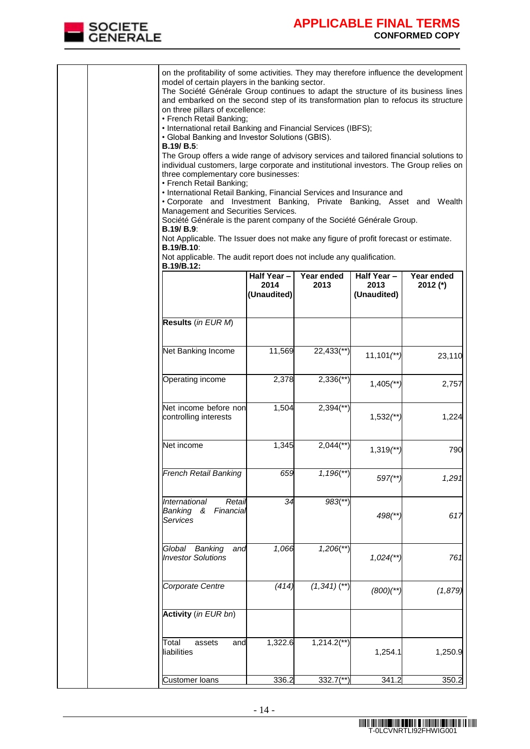

# **APPLICABLE FINAL TERMS CONFORMED COPY**

| on the profitability of some activities. They may therefore influence the development<br>model of certain players in the banking sector.<br>The Société Générale Group continues to adapt the structure of its business lines<br>and embarked on the second step of its transformation plan to refocus its structure<br>on three pillars of excellence:<br>• French Retail Banking;<br>• International retail Banking and Financial Services (IBFS);<br>• Global Banking and Investor Solutions (GBIS).<br>$B.19/B.5$ :<br>The Group offers a wide range of advisory services and tailored financial solutions to<br>individual customers, large corporate and institutional investors. The Group relies on<br>three complementary core businesses:<br>• French Retail Banking;<br>• International Retail Banking, Financial Services and Insurance and<br>. Corporate and Investment Banking, Private Banking, Asset and Wealth<br>Management and Securities Services.<br>Société Générale is the parent company of the Société Générale Group.<br><b>B.19/ B.9:</b><br>Not Applicable. The Issuer does not make any figure of profit forecast or estimate.<br><b>B.19/B.10:</b> |                                    |                           |                                    |                        |
|-----------------------------------------------------------------------------------------------------------------------------------------------------------------------------------------------------------------------------------------------------------------------------------------------------------------------------------------------------------------------------------------------------------------------------------------------------------------------------------------------------------------------------------------------------------------------------------------------------------------------------------------------------------------------------------------------------------------------------------------------------------------------------------------------------------------------------------------------------------------------------------------------------------------------------------------------------------------------------------------------------------------------------------------------------------------------------------------------------------------------------------------------------------------------------------|------------------------------------|---------------------------|------------------------------------|------------------------|
| Not applicable. The audit report does not include any qualification.                                                                                                                                                                                                                                                                                                                                                                                                                                                                                                                                                                                                                                                                                                                                                                                                                                                                                                                                                                                                                                                                                                              |                                    |                           |                                    |                        |
| B.19/B.12:                                                                                                                                                                                                                                                                                                                                                                                                                                                                                                                                                                                                                                                                                                                                                                                                                                                                                                                                                                                                                                                                                                                                                                        | Half Year -<br>2014<br>(Unaudited) | Year ended<br>2013        | Half Year -<br>2013<br>(Unaudited) | Year ended<br>2012 (*) |
| Results (in EUR M)                                                                                                                                                                                                                                                                                                                                                                                                                                                                                                                                                                                                                                                                                                                                                                                                                                                                                                                                                                                                                                                                                                                                                                |                                    |                           |                                    |                        |
| Net Banking Income                                                                                                                                                                                                                                                                                                                                                                                                                                                                                                                                                                                                                                                                                                                                                                                                                                                                                                                                                                                                                                                                                                                                                                | 11,569                             | $22,433$ <sup>**</sup> )  | $11,101$ <sup>**</sup> )           | 23,110                 |
| Operating income                                                                                                                                                                                                                                                                                                                                                                                                                                                                                                                                                                                                                                                                                                                                                                                                                                                                                                                                                                                                                                                                                                                                                                  | 2,378                              | $2,336$ <sup>**</sup> )   | $1,405$ <sup>**</sup>              | 2,757                  |
| Net income before non<br>controlling interests                                                                                                                                                                                                                                                                                                                                                                                                                                                                                                                                                                                                                                                                                                                                                                                                                                                                                                                                                                                                                                                                                                                                    | 1,504                              | $2,394$ <sup>**</sup> )   | $1,532$ $(*^*$                     | 1,224                  |
| Net income                                                                                                                                                                                                                                                                                                                                                                                                                                                                                                                                                                                                                                                                                                                                                                                                                                                                                                                                                                                                                                                                                                                                                                        | 1,345                              | $2,044$ <sup>**</sup> )   | $1,319$ <sup>*</sup>               | 790                    |
| <b>French Retail Banking</b>                                                                                                                                                                                                                                                                                                                                                                                                                                                                                                                                                                                                                                                                                                                                                                                                                                                                                                                                                                                                                                                                                                                                                      | 659                                | $1,196$ <sup>**</sup> )   | $597$ <sup>**</sup>                | 1,291                  |
| International<br>Retail<br>Banking<br>Financial<br>&<br><b>Services</b>                                                                                                                                                                                                                                                                                                                                                                                                                                                                                                                                                                                                                                                                                                                                                                                                                                                                                                                                                                                                                                                                                                           | 34                                 | $983$ <sup>**</sup> )     | 498(**                             | 617                    |
| Global Banking<br>and<br><b>Investor Solutions</b>                                                                                                                                                                                                                                                                                                                                                                                                                                                                                                                                                                                                                                                                                                                                                                                                                                                                                                                                                                                                                                                                                                                                | 1,066                              | $1,206$ <sup>**</sup> )   | $1,024$ <sup>**</sup>              | 761                    |
| Corporate Centre                                                                                                                                                                                                                                                                                                                                                                                                                                                                                                                                                                                                                                                                                                                                                                                                                                                                                                                                                                                                                                                                                                                                                                  | (414)                              | $(1,341)$ (**)            | $(800)(**$                         | (1, 879)               |
| <b>Activity</b> (in EUR bn)                                                                                                                                                                                                                                                                                                                                                                                                                                                                                                                                                                                                                                                                                                                                                                                                                                                                                                                                                                                                                                                                                                                                                       |                                    |                           |                                    |                        |
| Total<br>assets<br>and<br>liabilities                                                                                                                                                                                                                                                                                                                                                                                                                                                                                                                                                                                                                                                                                                                                                                                                                                                                                                                                                                                                                                                                                                                                             | 1,322.6                            | $1,214.2$ <sup>**</sup> ) | 1,254.1                            | 1,250.9                |
| Customer loans                                                                                                                                                                                                                                                                                                                                                                                                                                                                                                                                                                                                                                                                                                                                                                                                                                                                                                                                                                                                                                                                                                                                                                    | 336.2                              | $332.7^{(*)}$             | 341.2                              | 350.2                  |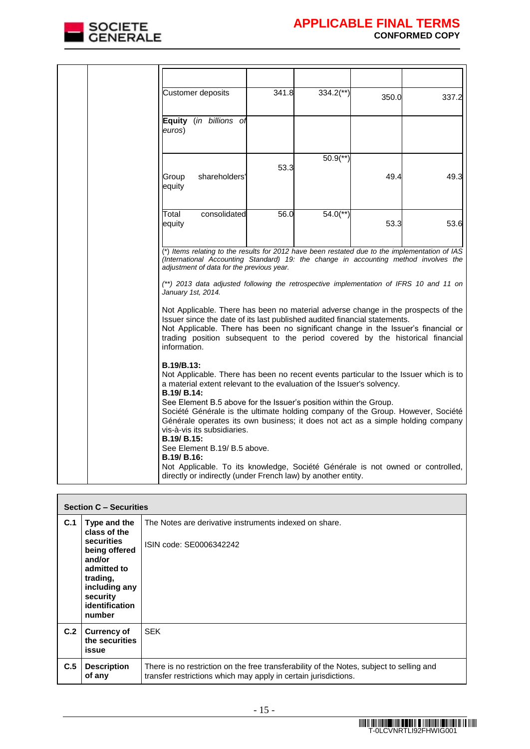

|  | <b>Customer deposits</b>                                                                                                                                                                                                                                                                                                                                                                                                                                                                                                                                                                                                                                                                                     | 341.8 | $334.2$ <sup>**</sup> ) | 350.0 | 337.2 |
|--|--------------------------------------------------------------------------------------------------------------------------------------------------------------------------------------------------------------------------------------------------------------------------------------------------------------------------------------------------------------------------------------------------------------------------------------------------------------------------------------------------------------------------------------------------------------------------------------------------------------------------------------------------------------------------------------------------------------|-------|-------------------------|-------|-------|
|  | Equity (in billions of<br>euros)                                                                                                                                                                                                                                                                                                                                                                                                                                                                                                                                                                                                                                                                             |       |                         |       |       |
|  | shareholders'<br>Group<br>equity                                                                                                                                                                                                                                                                                                                                                                                                                                                                                                                                                                                                                                                                             | 53.3  | $50.9$ <sup>**</sup> )  | 49.4  | 49.3  |
|  | consolidated<br>Total<br>equity                                                                                                                                                                                                                                                                                                                                                                                                                                                                                                                                                                                                                                                                              | 56.0  | $54.0$ <sup>**</sup> )  | 53.3  | 53.6  |
|  | (*) Items relating to the results for 2012 have been restated due to the implementation of IAS<br>(International Accounting Standard) 19: the change in accounting method involves the<br>adjustment of data for the previous year.<br>(**) 2013 data adjusted following the retrospective implementation of IFRS 10 and 11 on<br>January 1st, 2014.<br>Not Applicable. There has been no material adverse change in the prospects of the<br>Issuer since the date of its last published audited financial statements.<br>Not Applicable. There has been no significant change in the Issuer's financial or<br>trading position subsequent to the period covered by the historical financial<br>information. |       |                         |       |       |
|  | <b>B.19/B.13:</b><br>Not Applicable. There has been no recent events particular to the Issuer which is to<br>a material extent relevant to the evaluation of the Issuer's solvency.<br>B.19/ B.14:<br>See Element B.5 above for the Issuer's position within the Group.<br>Société Générale is the ultimate holding company of the Group. However, Société<br>Générale operates its own business; it does not act as a simple holding company<br>vis-à-vis its subsidiaries.<br>B.19/ B.15:<br>See Element B.19/ B.5 above.<br>B.19/ B.16:<br>Not Applicable. To its knowledge, Société Générale is not owned or controlled,<br>directly or indirectly (under French law) by another entity.                 |       |                         |       |       |

|     | <b>Section C - Securities</b>                                                                                                                             |                                                                                                                                                             |  |  |  |  |
|-----|-----------------------------------------------------------------------------------------------------------------------------------------------------------|-------------------------------------------------------------------------------------------------------------------------------------------------------------|--|--|--|--|
| C.1 | Type and the<br>class of the<br>securities<br>being offered<br>and/or<br>admitted to<br>trading,<br>including any<br>security<br>identification<br>number | The Notes are derivative instruments indexed on share.<br>ISIN code: SE0006342242                                                                           |  |  |  |  |
| C.2 | <b>Currency of</b><br>the securities<br>issue                                                                                                             | <b>SEK</b>                                                                                                                                                  |  |  |  |  |
| C.5 | <b>Description</b><br>of any                                                                                                                              | There is no restriction on the free transferability of the Notes, subject to selling and<br>transfer restrictions which may apply in certain jurisdictions. |  |  |  |  |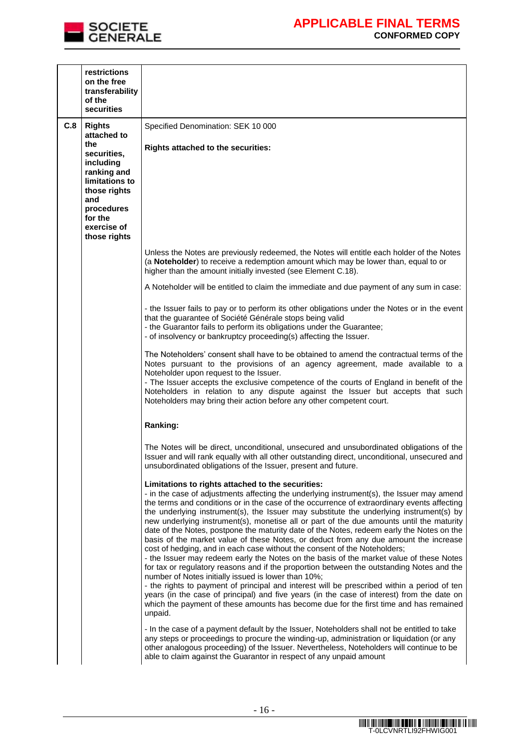

|     | restrictions<br>on the free<br>transferability<br>of the<br>securities                                                                |                                                                                                                                                                                                                                                                                                                                                                                                                                                                                                                                                                                                                                                                                                                                                                                                                                                                                                                                                                                                                                                                                                                                                                                                                                                        |  |  |
|-----|---------------------------------------------------------------------------------------------------------------------------------------|--------------------------------------------------------------------------------------------------------------------------------------------------------------------------------------------------------------------------------------------------------------------------------------------------------------------------------------------------------------------------------------------------------------------------------------------------------------------------------------------------------------------------------------------------------------------------------------------------------------------------------------------------------------------------------------------------------------------------------------------------------------------------------------------------------------------------------------------------------------------------------------------------------------------------------------------------------------------------------------------------------------------------------------------------------------------------------------------------------------------------------------------------------------------------------------------------------------------------------------------------------|--|--|
| C.8 | <b>Rights</b><br>attached to<br>the<br>securities,<br>including<br>ranking and<br>limitations to<br>those rights<br>and<br>procedures | Specified Denomination: SEK 10 000<br><b>Rights attached to the securities:</b>                                                                                                                                                                                                                                                                                                                                                                                                                                                                                                                                                                                                                                                                                                                                                                                                                                                                                                                                                                                                                                                                                                                                                                        |  |  |
|     | for the<br>exercise of<br>those rights                                                                                                |                                                                                                                                                                                                                                                                                                                                                                                                                                                                                                                                                                                                                                                                                                                                                                                                                                                                                                                                                                                                                                                                                                                                                                                                                                                        |  |  |
|     |                                                                                                                                       | Unless the Notes are previously redeemed, the Notes will entitle each holder of the Notes<br>(a Noteholder) to receive a redemption amount which may be lower than, equal to or<br>higher than the amount initially invested (see Element C.18).                                                                                                                                                                                                                                                                                                                                                                                                                                                                                                                                                                                                                                                                                                                                                                                                                                                                                                                                                                                                       |  |  |
|     |                                                                                                                                       | A Noteholder will be entitled to claim the immediate and due payment of any sum in case:                                                                                                                                                                                                                                                                                                                                                                                                                                                                                                                                                                                                                                                                                                                                                                                                                                                                                                                                                                                                                                                                                                                                                               |  |  |
|     |                                                                                                                                       | - the Issuer fails to pay or to perform its other obligations under the Notes or in the event<br>that the guarantee of Société Générale stops being valid<br>- the Guarantor fails to perform its obligations under the Guarantee;<br>- of insolvency or bankruptcy proceeding(s) affecting the Issuer.                                                                                                                                                                                                                                                                                                                                                                                                                                                                                                                                                                                                                                                                                                                                                                                                                                                                                                                                                |  |  |
|     |                                                                                                                                       | The Noteholders' consent shall have to be obtained to amend the contractual terms of the<br>Notes pursuant to the provisions of an agency agreement, made available to a<br>Noteholder upon request to the Issuer.<br>- The Issuer accepts the exclusive competence of the courts of England in benefit of the<br>Noteholders in relation to any dispute against the Issuer but accepts that such<br>Noteholders may bring their action before any other competent court.                                                                                                                                                                                                                                                                                                                                                                                                                                                                                                                                                                                                                                                                                                                                                                              |  |  |
|     | Ranking:                                                                                                                              |                                                                                                                                                                                                                                                                                                                                                                                                                                                                                                                                                                                                                                                                                                                                                                                                                                                                                                                                                                                                                                                                                                                                                                                                                                                        |  |  |
|     |                                                                                                                                       | The Notes will be direct, unconditional, unsecured and unsubordinated obligations of the<br>Issuer and will rank equally with all other outstanding direct, unconditional, unsecured and<br>unsubordinated obligations of the Issuer, present and future.                                                                                                                                                                                                                                                                                                                                                                                                                                                                                                                                                                                                                                                                                                                                                                                                                                                                                                                                                                                              |  |  |
|     |                                                                                                                                       | Limitations to rights attached to the securities:<br>- in the case of adjustments affecting the underlying instrument(s), the Issuer may amend<br>the terms and conditions or in the case of the occurrence of extraordinary events affecting<br>the underlying instrument(s), the Issuer may substitute the underlying instrument(s) by<br>new underlying instrument(s), monetise all or part of the due amounts until the maturity<br>date of the Notes, postpone the maturity date of the Notes, redeem early the Notes on the<br>basis of the market value of these Notes, or deduct from any due amount the increase<br>cost of hedging, and in each case without the consent of the Noteholders;<br>- the Issuer may redeem early the Notes on the basis of the market value of these Notes<br>for tax or regulatory reasons and if the proportion between the outstanding Notes and the<br>number of Notes initially issued is lower than 10%;<br>- the rights to payment of principal and interest will be prescribed within a period of ten<br>years (in the case of principal) and five years (in the case of interest) from the date on<br>which the payment of these amounts has become due for the first time and has remained<br>unpaid. |  |  |
|     |                                                                                                                                       | - In the case of a payment default by the Issuer, Noteholders shall not be entitled to take<br>any steps or proceedings to procure the winding-up, administration or liquidation (or any<br>other analogous proceeding) of the Issuer. Nevertheless, Noteholders will continue to be<br>able to claim against the Guarantor in respect of any unpaid amount                                                                                                                                                                                                                                                                                                                                                                                                                                                                                                                                                                                                                                                                                                                                                                                                                                                                                            |  |  |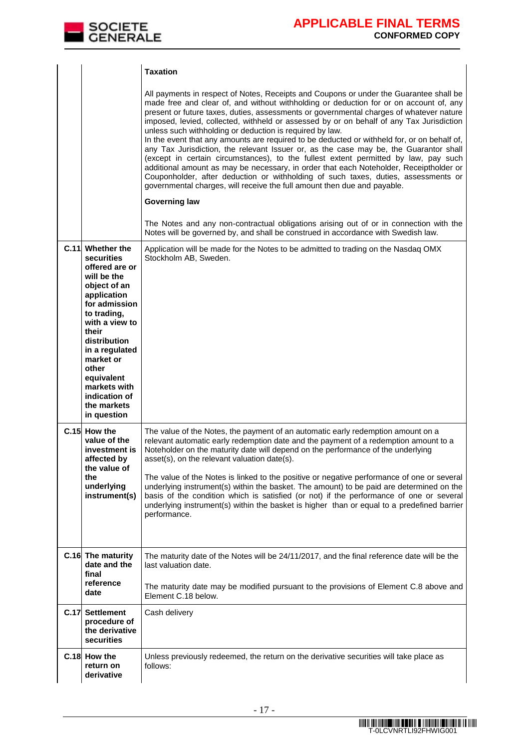

|      |                                                                                                                                                                                                                                                                                           | <b>Taxation</b>                                                                                                                                                                                                                                                                                                                                                                                                                                                                                                                                                                                                                                                                                                                                                                                                                                                                                                                                                                                        |
|------|-------------------------------------------------------------------------------------------------------------------------------------------------------------------------------------------------------------------------------------------------------------------------------------------|--------------------------------------------------------------------------------------------------------------------------------------------------------------------------------------------------------------------------------------------------------------------------------------------------------------------------------------------------------------------------------------------------------------------------------------------------------------------------------------------------------------------------------------------------------------------------------------------------------------------------------------------------------------------------------------------------------------------------------------------------------------------------------------------------------------------------------------------------------------------------------------------------------------------------------------------------------------------------------------------------------|
|      |                                                                                                                                                                                                                                                                                           | All payments in respect of Notes, Receipts and Coupons or under the Guarantee shall be<br>made free and clear of, and without withholding or deduction for or on account of, any<br>present or future taxes, duties, assessments or governmental charges of whatever nature<br>imposed, levied, collected, withheld or assessed by or on behalf of any Tax Jurisdiction<br>unless such withholding or deduction is required by law.<br>In the event that any amounts are required to be deducted or withheld for, or on behalf of,<br>any Tax Jurisdiction, the relevant Issuer or, as the case may be, the Guarantor shall<br>(except in certain circumstances), to the fullest extent permitted by law, pay such<br>additional amount as may be necessary, in order that each Noteholder, Receiptholder or<br>Couponholder, after deduction or withholding of such taxes, duties, assessments or<br>governmental charges, will receive the full amount then due and payable.<br><b>Governing law</b> |
|      |                                                                                                                                                                                                                                                                                           | The Notes and any non-contractual obligations arising out of or in connection with the<br>Notes will be governed by, and shall be construed in accordance with Swedish law.                                                                                                                                                                                                                                                                                                                                                                                                                                                                                                                                                                                                                                                                                                                                                                                                                            |
| C.11 | Whether the<br>securities<br>offered are or<br>will be the<br>object of an<br>application<br>for admission<br>to trading,<br>with a view to<br>their<br>distribution<br>in a regulated<br>market or<br>other<br>equivalent<br>markets with<br>indication of<br>the markets<br>in question | Application will be made for the Notes to be admitted to trading on the Nasdaq OMX<br>Stockholm AB, Sweden.                                                                                                                                                                                                                                                                                                                                                                                                                                                                                                                                                                                                                                                                                                                                                                                                                                                                                            |
|      | C.15 How the<br>value of the<br>investment is<br>affected by<br>the value of<br>the<br>underlying<br>instrument(s)                                                                                                                                                                        | The value of the Notes, the payment of an automatic early redemption amount on a<br>relevant automatic early redemption date and the payment of a redemption amount to a<br>Noteholder on the maturity date will depend on the performance of the underlying<br>asset(s), on the relevant valuation date(s).<br>The value of the Notes is linked to the positive or negative performance of one or several<br>underlying instrument(s) within the basket. The amount) to be paid are determined on the<br>basis of the condition which is satisfied (or not) if the performance of one or several<br>underlying instrument(s) within the basket is higher than or equal to a predefined barrier<br>performance.                                                                                                                                                                                                                                                                                        |
|      | C.16 The maturity<br>date and the<br>final<br>reference<br>date                                                                                                                                                                                                                           | The maturity date of the Notes will be 24/11/2017, and the final reference date will be the<br>last valuation date.<br>The maturity date may be modified pursuant to the provisions of Element C.8 above and<br>Element C.18 below.                                                                                                                                                                                                                                                                                                                                                                                                                                                                                                                                                                                                                                                                                                                                                                    |
|      | C.17 Settlement<br>procedure of<br>the derivative<br>securities                                                                                                                                                                                                                           | Cash delivery                                                                                                                                                                                                                                                                                                                                                                                                                                                                                                                                                                                                                                                                                                                                                                                                                                                                                                                                                                                          |
|      | C.18 How the<br>return on<br>derivative                                                                                                                                                                                                                                                   | Unless previously redeemed, the return on the derivative securities will take place as<br>follows:                                                                                                                                                                                                                                                                                                                                                                                                                                                                                                                                                                                                                                                                                                                                                                                                                                                                                                     |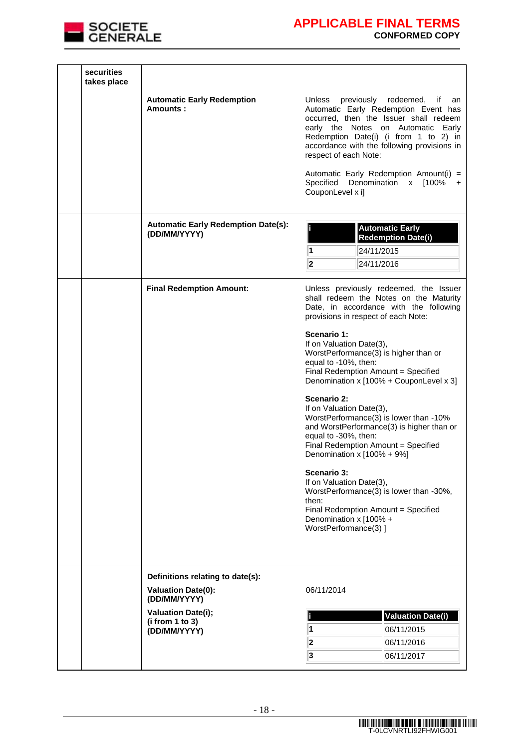

| securities<br>takes place |                                                                               |                                                                                                                                                                                                                                                                                               |  |  |  |
|---------------------------|-------------------------------------------------------------------------------|-----------------------------------------------------------------------------------------------------------------------------------------------------------------------------------------------------------------------------------------------------------------------------------------------|--|--|--|
|                           | <b>Automatic Early Redemption</b><br>Amounts:                                 | previously<br><b>Unless</b><br>redeemed,<br>if<br>an<br>Automatic Early Redemption Event has<br>occurred, then the Issuer shall redeem<br>early the Notes on Automatic Early<br>Redemption Date(i) (i from 1 to 2) in<br>accordance with the following provisions in<br>respect of each Note: |  |  |  |
|                           |                                                                               | Automatic Early Redemption Amount(i) =<br>Specified Denomination x [100%<br>$+$<br>CouponLevel x i]                                                                                                                                                                                           |  |  |  |
|                           | <b>Automatic Early Redemption Date(s):</b><br>(DD/MM/YYYY)                    | <b>Automatic Early</b><br><b>Redemption Date(i)</b><br>1<br>24/11/2015<br>2<br>24/11/2016                                                                                                                                                                                                     |  |  |  |
|                           | <b>Final Redemption Amount:</b>                                               | Unless previously redeemed, the Issuer<br>shall redeem the Notes on the Maturity<br>Date, in accordance with the following<br>provisions in respect of each Note:                                                                                                                             |  |  |  |
|                           |                                                                               | Scenario 1:<br>If on Valuation Date(3),<br>WorstPerformance(3) is higher than or<br>equal to -10%, then:<br>Final Redemption Amount = Specified<br>Denomination x [100% + CouponLevel x 3]                                                                                                    |  |  |  |
|                           |                                                                               | Scenario 2:<br>If on Valuation Date(3),<br>WorstPerformance(3) is lower than -10%<br>and WorstPerformance(3) is higher than or<br>equal to -30%, then:<br>Final Redemption Amount = Specified<br>Denomination x [100% + 9%]                                                                   |  |  |  |
|                           |                                                                               | Scenario 3:<br>If on Valuation Date(3),<br>WorstPerformance(3) is lower than -30%,<br>then:<br>Final Redemption Amount = Specified<br>Denomination x [100% +<br>WorstPerformance(3) ]                                                                                                         |  |  |  |
|                           |                                                                               |                                                                                                                                                                                                                                                                                               |  |  |  |
|                           | Definitions relating to date(s):<br><b>Valuation Date(0):</b><br>(DD/MM/YYYY) | 06/11/2014                                                                                                                                                                                                                                                                                    |  |  |  |
|                           | <b>Valuation Date(i);</b><br>(i from 1 to 3)                                  | <b>Valuation Date(i)</b><br>1<br>06/11/2015                                                                                                                                                                                                                                                   |  |  |  |
|                           | (DD/MM/YYYY)                                                                  | 2<br>06/11/2016                                                                                                                                                                                                                                                                               |  |  |  |
|                           |                                                                               | 3<br>06/11/2017                                                                                                                                                                                                                                                                               |  |  |  |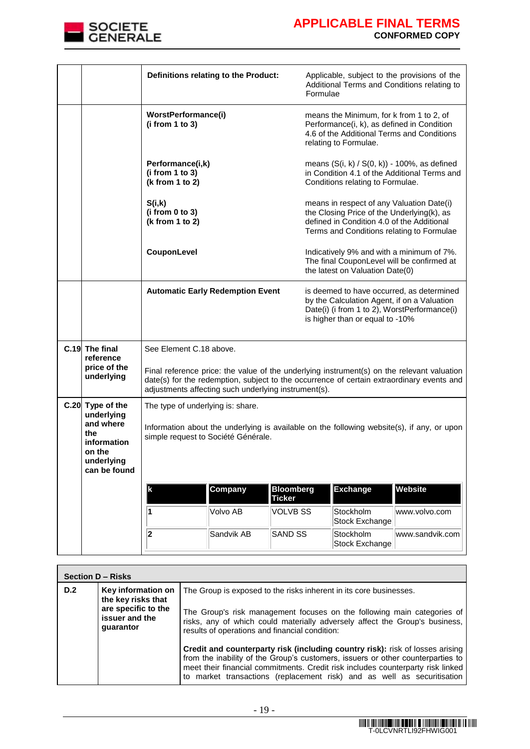

|                                                                         | Definitions relating to the Product:                                                                                                                                                                                                                         |            | Applicable, subject to the provisions of the<br>Additional Terms and Conditions relating to<br>Formulae                    |                                                                                                                                                                                    |                                                                                                                 |                                            |
|-------------------------------------------------------------------------|--------------------------------------------------------------------------------------------------------------------------------------------------------------------------------------------------------------------------------------------------------------|------------|----------------------------------------------------------------------------------------------------------------------------|------------------------------------------------------------------------------------------------------------------------------------------------------------------------------------|-----------------------------------------------------------------------------------------------------------------|--------------------------------------------|
|                                                                         | WorstPerformance(i)<br>(i from 1 to 3)                                                                                                                                                                                                                       |            |                                                                                                                            |                                                                                                                                                                                    | means the Minimum, for k from 1 to 2, of<br>Performance(i, k), as defined in Condition<br>relating to Formulae. | 4.6 of the Additional Terms and Conditions |
|                                                                         | Performance(i,k)<br>(i from 1 to 3)<br>(k from 1 to 2)                                                                                                                                                                                                       |            |                                                                                                                            | means $(S(i, k) / S(0, k)) - 100\%$ , as defined<br>in Condition 4.1 of the Additional Terms and<br>Conditions relating to Formulae.                                               |                                                                                                                 |                                            |
|                                                                         | S(i,k)<br>(i from 0 to 3)<br>(k from 1 to 2)                                                                                                                                                                                                                 |            |                                                                                                                            | means in respect of any Valuation Date(i)<br>the Closing Price of the Underlying(k), as<br>defined in Condition 4.0 of the Additional<br>Terms and Conditions relating to Formulae |                                                                                                                 |                                            |
|                                                                         | CouponLevel                                                                                                                                                                                                                                                  |            | Indicatively 9% and with a minimum of 7%.<br>The final CouponLevel will be confirmed at<br>the latest on Valuation Date(0) |                                                                                                                                                                                    |                                                                                                                 |                                            |
|                                                                         | <b>Automatic Early Redemption Event</b>                                                                                                                                                                                                                      |            |                                                                                                                            | is deemed to have occurred, as determined<br>by the Calculation Agent, if on a Valuation<br>Date(i) (i from 1 to 2), WorstPerformance(i)<br>is higher than or equal to -10%        |                                                                                                                 |                                            |
| C.19 The final                                                          | See Element C.18 above.                                                                                                                                                                                                                                      |            |                                                                                                                            |                                                                                                                                                                                    |                                                                                                                 |                                            |
| price of the<br>underlying                                              | reference<br>Final reference price: the value of the underlying instrument(s) on the relevant valuation<br>date(s) for the redemption, subject to the occurrence of certain extraordinary events and<br>adjustments affecting such underlying instrument(s). |            |                                                                                                                            |                                                                                                                                                                                    |                                                                                                                 |                                            |
| C.20 Type of the<br>underlying                                          | The type of underlying is: share.                                                                                                                                                                                                                            |            |                                                                                                                            |                                                                                                                                                                                    |                                                                                                                 |                                            |
| and where<br>the<br>information<br>on the<br>underlvina<br>can be found | Information about the underlying is available on the following website(s), if any, or upon<br>simple request to Société Générale.                                                                                                                            |            |                                                                                                                            |                                                                                                                                                                                    |                                                                                                                 |                                            |
|                                                                         | k                                                                                                                                                                                                                                                            | Company    | <b>Bloomberg</b>                                                                                                           |                                                                                                                                                                                    | <b>Exchange</b>                                                                                                 | Website                                    |
|                                                                         | 1                                                                                                                                                                                                                                                            | Volvo AB   | <b>Ticker</b><br><b>VOLVB SS</b>                                                                                           |                                                                                                                                                                                    | Stockholm                                                                                                       | www.volvo.com                              |
|                                                                         |                                                                                                                                                                                                                                                              |            |                                                                                                                            |                                                                                                                                                                                    | <b>Stock Exchange</b>                                                                                           |                                            |
|                                                                         | 2                                                                                                                                                                                                                                                            | Sandvik AB | SAND SS                                                                                                                    |                                                                                                                                                                                    | Stockholm<br><b>Stock Exchange</b>                                                                              | www.sandvik.com                            |

|     | Section D - Risks                                                                              |                                                                                                                                                                                                                                                                                                                                                                                                                                                                                                                                                                                                                         |  |  |
|-----|------------------------------------------------------------------------------------------------|-------------------------------------------------------------------------------------------------------------------------------------------------------------------------------------------------------------------------------------------------------------------------------------------------------------------------------------------------------------------------------------------------------------------------------------------------------------------------------------------------------------------------------------------------------------------------------------------------------------------------|--|--|
| D.2 | Key information on<br>the key risks that<br>are specific to the<br>issuer and the<br>guarantor | The Group is exposed to the risks inherent in its core businesses.<br>The Group's risk management focuses on the following main categories of<br>risks, any of which could materially adversely affect the Group's business,<br>results of operations and financial condition:<br><b>Credit and counterparty risk (including country risk):</b> risk of losses arising<br>from the inability of the Group's customers, issuers or other counterparties to<br>meet their financial commitments. Credit risk includes counterparty risk linked<br>to market transactions (replacement risk) and as well as securitisation |  |  |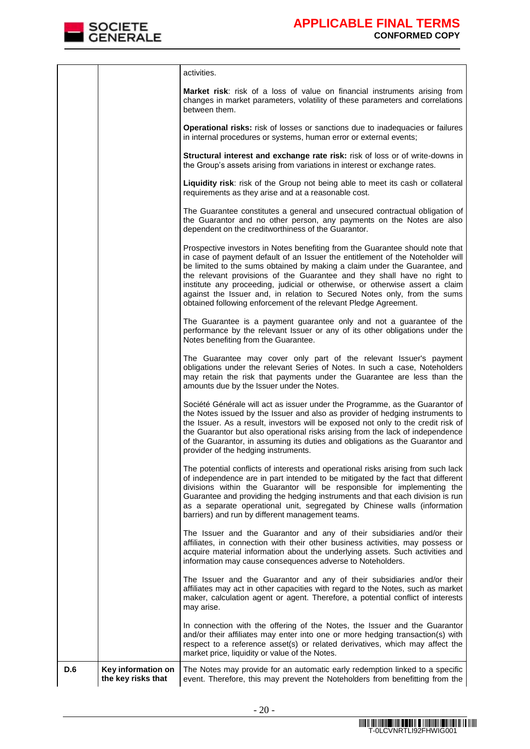

|     |                                          | activities.                                                                                                                                                                                                                                                                                                                                                                                                                                                                                                                                               |
|-----|------------------------------------------|-----------------------------------------------------------------------------------------------------------------------------------------------------------------------------------------------------------------------------------------------------------------------------------------------------------------------------------------------------------------------------------------------------------------------------------------------------------------------------------------------------------------------------------------------------------|
|     |                                          | Market risk: risk of a loss of value on financial instruments arising from<br>changes in market parameters, volatility of these parameters and correlations<br>between them.                                                                                                                                                                                                                                                                                                                                                                              |
|     |                                          | <b>Operational risks:</b> risk of losses or sanctions due to inadequacies or failures<br>in internal procedures or systems, human error or external events;                                                                                                                                                                                                                                                                                                                                                                                               |
|     |                                          | Structural interest and exchange rate risk: risk of loss or of write-downs in<br>the Group's assets arising from variations in interest or exchange rates.                                                                                                                                                                                                                                                                                                                                                                                                |
|     |                                          | Liquidity risk: risk of the Group not being able to meet its cash or collateral<br>requirements as they arise and at a reasonable cost.                                                                                                                                                                                                                                                                                                                                                                                                                   |
|     |                                          | The Guarantee constitutes a general and unsecured contractual obligation of<br>the Guarantor and no other person, any payments on the Notes are also<br>dependent on the creditworthiness of the Guarantor.                                                                                                                                                                                                                                                                                                                                               |
|     |                                          | Prospective investors in Notes benefiting from the Guarantee should note that<br>in case of payment default of an Issuer the entitlement of the Noteholder will<br>be limited to the sums obtained by making a claim under the Guarantee, and<br>the relevant provisions of the Guarantee and they shall have no right to<br>institute any proceeding, judicial or otherwise, or otherwise assert a claim<br>against the Issuer and, in relation to Secured Notes only, from the sums<br>obtained following enforcement of the relevant Pledge Agreement. |
|     |                                          | The Guarantee is a payment guarantee only and not a guarantee of the<br>performance by the relevant Issuer or any of its other obligations under the<br>Notes benefiting from the Guarantee.                                                                                                                                                                                                                                                                                                                                                              |
|     |                                          | The Guarantee may cover only part of the relevant Issuer's payment<br>obligations under the relevant Series of Notes. In such a case, Noteholders<br>may retain the risk that payments under the Guarantee are less than the<br>amounts due by the Issuer under the Notes.                                                                                                                                                                                                                                                                                |
|     |                                          | Société Générale will act as issuer under the Programme, as the Guarantor of<br>the Notes issued by the Issuer and also as provider of hedging instruments to<br>the Issuer. As a result, investors will be exposed not only to the credit risk of<br>the Guarantor but also operational risks arising from the lack of independence<br>of the Guarantor, in assuming its duties and obligations as the Guarantor and<br>provider of the hedging instruments.                                                                                             |
|     |                                          | The potential conflicts of interests and operational risks arising from such lack<br>of independence are in part intended to be mitigated by the fact that different<br>divisions within the Guarantor will be responsible for implementing the<br>Guarantee and providing the hedging instruments and that each division is run<br>as a separate operational unit, segregated by Chinese walls (information<br>barriers) and run by different management teams.                                                                                          |
|     |                                          | The Issuer and the Guarantor and any of their subsidiaries and/or their<br>affiliates, in connection with their other business activities, may possess or<br>acquire material information about the underlying assets. Such activities and<br>information may cause consequences adverse to Noteholders.                                                                                                                                                                                                                                                  |
|     |                                          | The Issuer and the Guarantor and any of their subsidiaries and/or their<br>affiliates may act in other capacities with regard to the Notes, such as market<br>maker, calculation agent or agent. Therefore, a potential conflict of interests<br>may arise.                                                                                                                                                                                                                                                                                               |
|     |                                          | In connection with the offering of the Notes, the Issuer and the Guarantor<br>and/or their affiliates may enter into one or more hedging transaction(s) with<br>respect to a reference asset(s) or related derivatives, which may affect the<br>market price, liquidity or value of the Notes.                                                                                                                                                                                                                                                            |
| D.6 | Key information on<br>the key risks that | The Notes may provide for an automatic early redemption linked to a specific<br>event. Therefore, this may prevent the Noteholders from benefitting from the                                                                                                                                                                                                                                                                                                                                                                                              |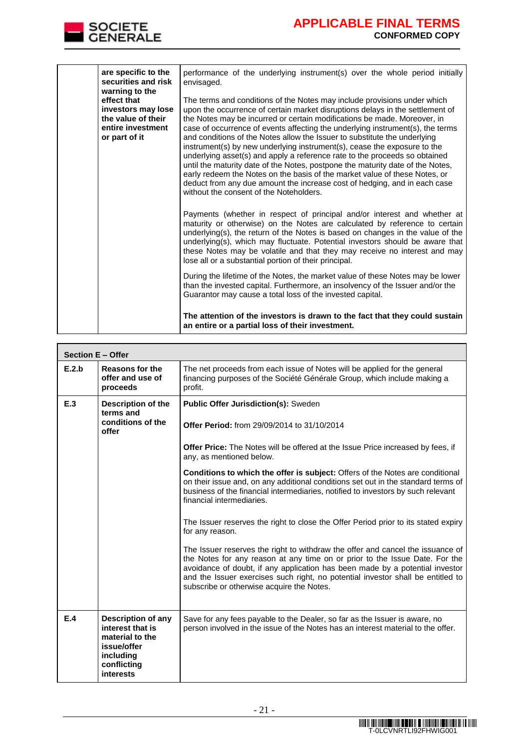

| are specific to the<br>securities and risk<br>warning to the<br>effect that<br>investors may lose<br>the value of their<br>entire investment<br>or part of it | performance of the underlying instrument(s) over the whole period initially<br>envisaged.<br>The terms and conditions of the Notes may include provisions under which<br>upon the occurrence of certain market disruptions delays in the settlement of<br>the Notes may be incurred or certain modifications be made. Moreover, in<br>case of occurrence of events affecting the underlying instrument(s), the terms<br>and conditions of the Notes allow the Issuer to substitute the underlying<br>instrument(s) by new underlying instrument(s), cease the exposure to the<br>underlying asset(s) and apply a reference rate to the proceeds so obtained |
|---------------------------------------------------------------------------------------------------------------------------------------------------------------|-------------------------------------------------------------------------------------------------------------------------------------------------------------------------------------------------------------------------------------------------------------------------------------------------------------------------------------------------------------------------------------------------------------------------------------------------------------------------------------------------------------------------------------------------------------------------------------------------------------------------------------------------------------|
|                                                                                                                                                               | until the maturity date of the Notes, postpone the maturity date of the Notes,<br>early redeem the Notes on the basis of the market value of these Notes, or<br>deduct from any due amount the increase cost of hedging, and in each case<br>without the consent of the Noteholders.                                                                                                                                                                                                                                                                                                                                                                        |
|                                                                                                                                                               | Payments (whether in respect of principal and/or interest and whether at<br>maturity or otherwise) on the Notes are calculated by reference to certain<br>underlying(s), the return of the Notes is based on changes in the value of the<br>underlying(s), which may fluctuate. Potential investors should be aware that<br>these Notes may be volatile and that they may receive no interest and may<br>lose all or a substantial portion of their principal.                                                                                                                                                                                              |
|                                                                                                                                                               | During the lifetime of the Notes, the market value of these Notes may be lower<br>than the invested capital. Furthermore, an insolvency of the Issuer and/or the<br>Guarantor may cause a total loss of the invested capital.                                                                                                                                                                                                                                                                                                                                                                                                                               |
|                                                                                                                                                               | The attention of the investors is drawn to the fact that they could sustain<br>an entire or a partial loss of their investment.                                                                                                                                                                                                                                                                                                                                                                                                                                                                                                                             |

|       | Section E - Offer                                                                                                        |                                                                                                                                                                                                                                                                                                                                                                                                                                                                                                                                                                                                                                                                                                                                                                                                                                                                                                                                                                                                   |  |  |
|-------|--------------------------------------------------------------------------------------------------------------------------|---------------------------------------------------------------------------------------------------------------------------------------------------------------------------------------------------------------------------------------------------------------------------------------------------------------------------------------------------------------------------------------------------------------------------------------------------------------------------------------------------------------------------------------------------------------------------------------------------------------------------------------------------------------------------------------------------------------------------------------------------------------------------------------------------------------------------------------------------------------------------------------------------------------------------------------------------------------------------------------------------|--|--|
| E.2.b | <b>Reasons for the</b><br>offer and use of<br>proceeds                                                                   | The net proceeds from each issue of Notes will be applied for the general<br>financing purposes of the Société Générale Group, which include making a<br>profit.                                                                                                                                                                                                                                                                                                                                                                                                                                                                                                                                                                                                                                                                                                                                                                                                                                  |  |  |
| E.3   | <b>Description of the</b><br>terms and<br>conditions of the<br>offer                                                     | <b>Public Offer Jurisdiction(s): Sweden</b><br>Offer Period: from 29/09/2014 to 31/10/2014<br><b>Offer Price:</b> The Notes will be offered at the Issue Price increased by fees, if<br>any, as mentioned below.<br>Conditions to which the offer is subject: Offers of the Notes are conditional<br>on their issue and, on any additional conditions set out in the standard terms of<br>business of the financial intermediaries, notified to investors by such relevant<br>financial intermediaries.<br>The Issuer reserves the right to close the Offer Period prior to its stated expiry<br>for any reason.<br>The Issuer reserves the right to withdraw the offer and cancel the issuance of<br>the Notes for any reason at any time on or prior to the Issue Date. For the<br>avoidance of doubt, if any application has been made by a potential investor<br>and the Issuer exercises such right, no potential investor shall be entitled to<br>subscribe or otherwise acquire the Notes. |  |  |
| E.4   | <b>Description of any</b><br>interest that is<br>material to the<br>issue/offer<br>including<br>conflicting<br>interests | Save for any fees payable to the Dealer, so far as the Issuer is aware, no<br>person involved in the issue of the Notes has an interest material to the offer.                                                                                                                                                                                                                                                                                                                                                                                                                                                                                                                                                                                                                                                                                                                                                                                                                                    |  |  |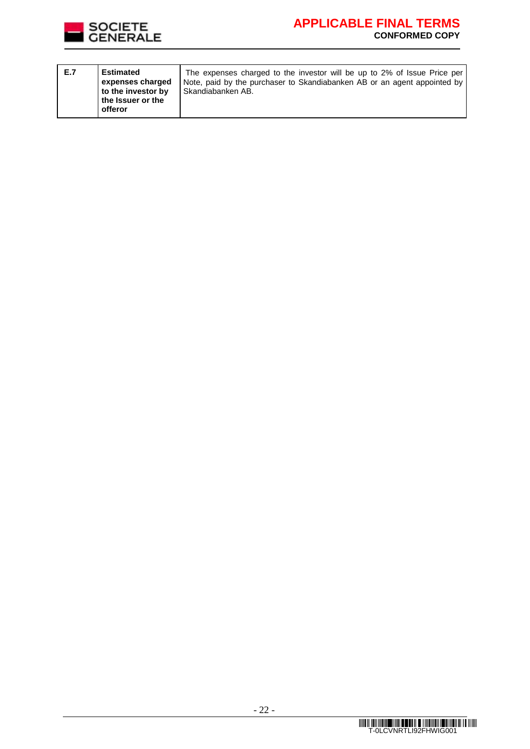

# **APPLICABLE FINAL TERMS CONFORMED COPY**

| E.7 | <b>Estimated</b><br>expenses charged<br>to the investor by<br>the Issuer or the<br>offeror | The expenses charged to the investor will be up to 2% of Issue Price per<br>Note, paid by the purchaser to Skandiabanken AB or an agent appointed by<br>Skandiabanken AB. |
|-----|--------------------------------------------------------------------------------------------|---------------------------------------------------------------------------------------------------------------------------------------------------------------------------|
|-----|--------------------------------------------------------------------------------------------|---------------------------------------------------------------------------------------------------------------------------------------------------------------------------|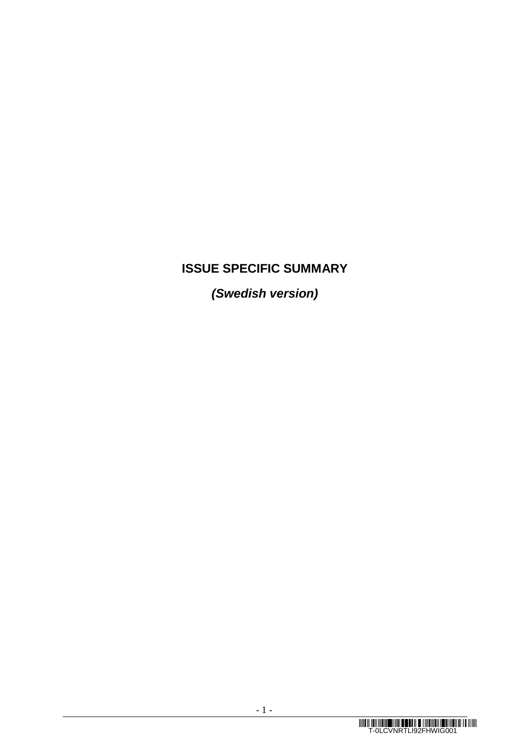# **ISSUE SPECIFIC SUMMARY**

*(Swedish version)*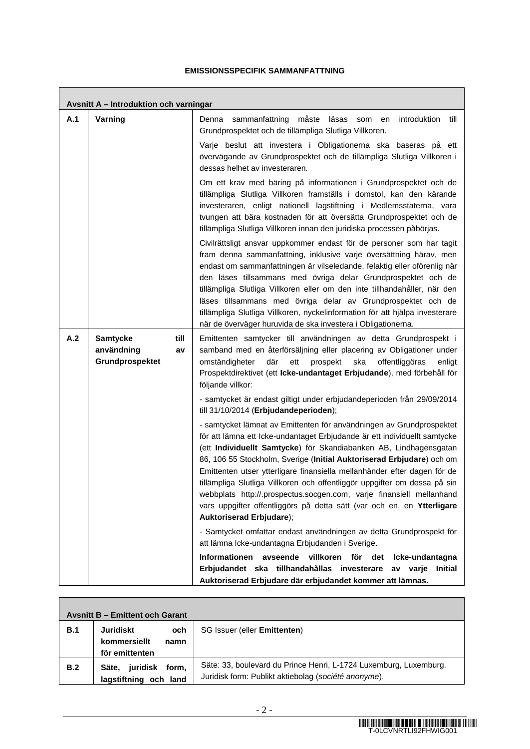### **EMISSIONSSPECIFIK SAMMANFATTNING**

|     | Avsnitt A - Introduktion och varningar                         |                                                                                                                                                                                                                                                                                                                                                                                                                                                                                                                                                                                                                                        |  |  |
|-----|----------------------------------------------------------------|----------------------------------------------------------------------------------------------------------------------------------------------------------------------------------------------------------------------------------------------------------------------------------------------------------------------------------------------------------------------------------------------------------------------------------------------------------------------------------------------------------------------------------------------------------------------------------------------------------------------------------------|--|--|
| A.1 | Varning                                                        | sammanfattning<br>måste<br>läsas<br>introduktion<br>Denna<br>till<br>som<br>en<br>Grundprospektet och de tillämpliga Slutliga Villkoren.<br>Varje beslut att investera i Obligationerna ska baseras på ett<br>övervägande av Grundprospektet och de tillämpliga Slutliga Villkoren i<br>dessas helhet av investeraren.                                                                                                                                                                                                                                                                                                                 |  |  |
|     |                                                                | Om ett krav med bäring på informationen i Grundprospektet och de<br>tillämpliga Slutliga Villkoren framställs i domstol, kan den kärande<br>investeraren, enligt nationell lagstiftning i Medlemsstaterna, vara<br>tvungen att bära kostnaden för att översätta Grundprospektet och de<br>tillämpliga Slutliga Villkoren innan den juridiska processen påbörjas.                                                                                                                                                                                                                                                                       |  |  |
|     |                                                                | Civilrättsligt ansvar uppkommer endast för de personer som har tagit<br>fram denna sammanfattning, inklusive varje översättning härav, men<br>endast om sammanfattningen är vilseledande, felaktig eller oförenlig när<br>den läses tillsammans med övriga delar Grundprospektet och de<br>tillämpliga Slutliga Villkoren eller om den inte tillhandahåller, när den<br>läses tillsammans med övriga delar av Grundprospektet och de<br>tillämpliga Slutliga Villkoren, nyckelinformation för att hjälpa investerare<br>när de överväger huruvida de ska investera i Obligationerna.                                                   |  |  |
| A.2 | <b>Samtycke</b><br>till<br>användning<br>av<br>Grundprospektet | Emittenten samtycker till användningen av detta Grundprospekt i<br>samband med en återförsäljning eller placering av Obligationer under<br>där<br>ett<br>prospekt<br>ska<br>offentliggöras<br>omständigheter<br>enligt<br>Prospektdirektivet (ett Icke-undantaget Erbjudande), med förbehåll för<br>följande villkor:                                                                                                                                                                                                                                                                                                                  |  |  |
|     |                                                                | - samtycket är endast giltigt under erbjudandeperioden från 29/09/2014<br>till 31/10/2014 (Erbjudandeperioden);                                                                                                                                                                                                                                                                                                                                                                                                                                                                                                                        |  |  |
|     |                                                                | - samtycket lämnat av Emittenten för användningen av Grundprospektet<br>för att lämna ett Icke-undantaget Erbjudande är ett individuellt samtycke<br>(ett Individuellt Samtycke) för Skandiabanken AB, Lindhagensgatan<br>86, 106 55 Stockholm, Sverige (Initial Auktoriserad Erbjudare) och om<br>Emittenten utser ytterligare finansiella mellanhänder efter dagen för de<br>tillämpliga Slutliga Villkoren och offentliggör uppgifter om dessa på sin<br>webbplats http://.prospectus.socgen.com, varje finansiell mellanhand<br>vars uppgifter offentliggörs på detta sätt (var och en, en Ytterligare<br>Auktoriserad Erbjudare); |  |  |
|     |                                                                | - Samtycket omfattar endast användningen av detta Grundprospekt för<br>att lämna Icke-undantagna Erbjudanden i Sverige.                                                                                                                                                                                                                                                                                                                                                                                                                                                                                                                |  |  |
|     |                                                                | Informationen avseende villkoren för det<br>Icke-undantagna<br>Erbjudandet ska tillhandahållas investerare av varje<br><b>Initial</b><br>Auktoriserad Erbjudare där erbjudandet kommer att lämnas.                                                                                                                                                                                                                                                                                                                                                                                                                                     |  |  |

| <b>Avsnitt B - Emittent och Garant</b> |                                                                   |                                                                                                                           |  |  |
|----------------------------------------|-------------------------------------------------------------------|---------------------------------------------------------------------------------------------------------------------------|--|--|
| B.1                                    | <b>Juridiskt</b><br>och<br>kommersiellt<br>namn<br>för emittenten | SG Issuer (eller <b>Emittenten)</b>                                                                                       |  |  |
| B.2                                    | juridisk form,<br>Säte.<br>lagstiftning och land                  | Säte: 33, boulevard du Prince Henri, L-1724 Luxemburg, Luxemburg.<br>Juridisk form: Publikt aktiebolag (société anonyme). |  |  |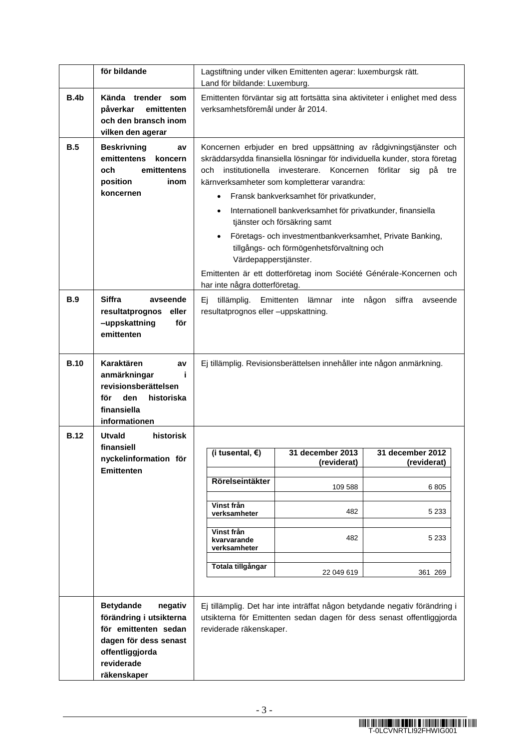|             | för bildande                                                                                                                                            | Lagstiftning under vilken Emittenten agerar: luxemburgsk rätt.<br>Land för bildande: Luxemburg.                                                                                                                                                                                                                                                                                                                                                                                                                                                                                                                                                                                                                   |                                                                                                                                                     |                                 |
|-------------|---------------------------------------------------------------------------------------------------------------------------------------------------------|-------------------------------------------------------------------------------------------------------------------------------------------------------------------------------------------------------------------------------------------------------------------------------------------------------------------------------------------------------------------------------------------------------------------------------------------------------------------------------------------------------------------------------------------------------------------------------------------------------------------------------------------------------------------------------------------------------------------|-----------------------------------------------------------------------------------------------------------------------------------------------------|---------------------------------|
| B.4b        | Kända trender<br>som<br>påverkar<br>emittenten<br>och den bransch inom<br>vilken den agerar                                                             | Emittenten förväntar sig att fortsätta sina aktiviteter i enlighet med dess<br>verksamhetsföremål under år 2014.                                                                                                                                                                                                                                                                                                                                                                                                                                                                                                                                                                                                  |                                                                                                                                                     |                                 |
| B.5         | <b>Beskrivning</b><br>av<br>emittentens<br>koncern<br>och<br>emittentens<br>position<br>inom<br>koncernen                                               | Koncernen erbjuder en bred uppsättning av rådgivningstjänster och<br>skräddarsydda finansiella lösningar för individuella kunder, stora företag<br>institutionella<br>investerare.<br>Koncernen<br>förlitar<br>och<br>sig<br>рå<br>tre<br>kärnverksamheter som kompletterar varandra:<br>Fransk bankverksamhet för privatkunder,<br>$\bullet$<br>Internationell bankverksamhet för privatkunder, finansiella<br>$\bullet$<br>tjänster och försäkring samt<br>Företags- och investmentbankverksamhet, Private Banking,<br>$\bullet$<br>tillgångs- och förmögenhetsförvaltning och<br>Värdepapperstjänster.<br>Emittenten är ett dotterföretag inom Société Générale-Koncernen och<br>har inte några dotterföretag. |                                                                                                                                                     |                                 |
| <b>B.9</b>  | <b>Siffra</b><br>avseende<br>resultatprognos<br>eller<br>-uppskattning<br>för<br>emittenten                                                             | tillämplig.<br>Emittenten lämnar<br>någon<br>siffra<br>Eji<br>inte<br>avseende<br>resultatprognos eller -uppskattning.                                                                                                                                                                                                                                                                                                                                                                                                                                                                                                                                                                                            |                                                                                                                                                     |                                 |
| <b>B.10</b> | Karaktären<br>av<br>anmärkningar<br>j.<br>revisionsberättelsen<br>historiska<br>för<br>den<br>finansiella<br>informationen                              | Ej tillämplig. Revisionsberättelsen innehåller inte någon anmärkning.                                                                                                                                                                                                                                                                                                                                                                                                                                                                                                                                                                                                                                             |                                                                                                                                                     |                                 |
| <b>B.12</b> | historisk<br><b>Utvald</b>                                                                                                                              |                                                                                                                                                                                                                                                                                                                                                                                                                                                                                                                                                                                                                                                                                                                   |                                                                                                                                                     |                                 |
|             | finansiell<br>nyckelinformation för<br><b>Emittenten</b>                                                                                                | (i tusental, $\epsilon$ )                                                                                                                                                                                                                                                                                                                                                                                                                                                                                                                                                                                                                                                                                         | 31 december 2013<br>(reviderat)                                                                                                                     | 31 december 2012<br>(reviderat) |
|             |                                                                                                                                                         | Rörelseintäkter                                                                                                                                                                                                                                                                                                                                                                                                                                                                                                                                                                                                                                                                                                   | 109 588                                                                                                                                             | 6805                            |
|             |                                                                                                                                                         | Vinst från<br>verksamheter                                                                                                                                                                                                                                                                                                                                                                                                                                                                                                                                                                                                                                                                                        | 482                                                                                                                                                 | 5 2 3 3                         |
|             |                                                                                                                                                         | Vinst från<br>kvarvarande<br>verksamheter                                                                                                                                                                                                                                                                                                                                                                                                                                                                                                                                                                                                                                                                         | 482                                                                                                                                                 | 5 2 3 3                         |
|             |                                                                                                                                                         | Totala tillgångar                                                                                                                                                                                                                                                                                                                                                                                                                                                                                                                                                                                                                                                                                                 | 22 049 619                                                                                                                                          | 361 269                         |
|             | <b>Betydande</b><br>negativ<br>förändring i utsikterna<br>för emittenten sedan<br>dagen för dess senast<br>offentliggjorda<br>reviderade<br>räkenskaper | reviderade räkenskaper.                                                                                                                                                                                                                                                                                                                                                                                                                                                                                                                                                                                                                                                                                           | Ej tillämplig. Det har inte inträffat någon betydande negativ förändring i<br>utsikterna för Emittenten sedan dagen för dess senast offentliggjorda |                                 |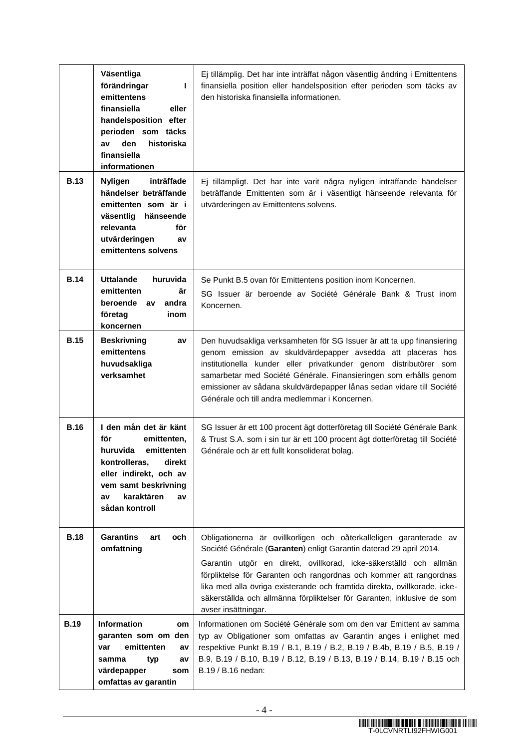|             | Väsentliga<br>förändringar<br>т<br>emittentens<br>finansiella<br>eller<br>handelsposition efter<br>perioden som täcks<br>den<br>historiska<br>av<br>finansiella<br>informationen            | Ej tillämplig. Det har inte inträffat någon väsentlig ändring i Emittentens<br>finansiella position eller handelsposition efter perioden som täcks av<br>den historiska finansiella informationen.                                                                                                                                                                                                                                                                |
|-------------|---------------------------------------------------------------------------------------------------------------------------------------------------------------------------------------------|-------------------------------------------------------------------------------------------------------------------------------------------------------------------------------------------------------------------------------------------------------------------------------------------------------------------------------------------------------------------------------------------------------------------------------------------------------------------|
| <b>B.13</b> | <b>Nyligen</b><br>inträffade<br>händelser beträffande<br>emittenten som är i<br>väsentlig<br>hänseende<br>relevanta<br>för<br>utvärderingen<br>av<br>emittentens solvens                    | Ej tillämpligt. Det har inte varit några nyligen inträffande händelser<br>beträffande Emittenten som är i väsentligt hänseende relevanta för<br>utvärderingen av Emittentens solvens.                                                                                                                                                                                                                                                                             |
| <b>B.14</b> | <b>Uttalande</b><br>huruvida<br>emittenten<br>är<br>beroende<br>andra<br>av<br>företag<br>inom<br>koncernen                                                                                 | Se Punkt B.5 ovan för Emittentens position inom Koncernen.<br>SG Issuer är beroende av Société Générale Bank & Trust inom<br>Koncernen.                                                                                                                                                                                                                                                                                                                           |
| <b>B.15</b> | <b>Beskrivning</b><br>av<br>emittentens<br>huvudsakliga<br>verksamhet                                                                                                                       | Den huvudsakliga verksamheten för SG Issuer är att ta upp finansiering<br>genom emission av skuldvärdepapper avsedda att placeras hos<br>institutionella kunder eller privatkunder genom distributörer som<br>samarbetar med Société Générale. Finansieringen som erhålls genom<br>emissioner av sådana skuldvärdepapper lånas sedan vidare till Société<br>Générale och till andra medlemmar i Koncernen.                                                        |
| <b>B.16</b> | I den mån det är känt<br>för<br>emittenten,<br>emittenten<br>huruvida<br>kontrolleras, direkt<br>eller indirekt, och av<br>vem samt beskrivning<br>karaktären<br>av<br>av<br>sådan kontroll | SG Issuer är ett 100 procent ägt dotterföretag till Société Générale Bank<br>& Trust S.A. som i sin tur är ett 100 procent ägt dotterföretag till Société<br>Générale och är ett fullt konsoliderat bolag.                                                                                                                                                                                                                                                        |
| <b>B.18</b> | <b>Garantins</b><br>och<br>art<br>omfattning                                                                                                                                                | Obligationerna är ovillkorligen och oåterkalleligen garanterade av<br>Société Générale (Garanten) enligt Garantin daterad 29 april 2014.<br>Garantin utgör en direkt, ovillkorad, icke-säkerställd och allmän<br>förpliktelse för Garanten och rangordnas och kommer att rangordnas<br>lika med alla övriga existerande och framtida direkta, ovillkorade, icke-<br>säkerställda och allmänna förpliktelser för Garanten, inklusive de som<br>avser insättningar. |
| <b>B.19</b> | Information<br>om<br>garanten som om den<br>emittenten<br>var<br>av<br>samma<br>typ<br>av<br>värdepapper<br>som<br>omfattas av garantin                                                     | Informationen om Société Générale som om den var Emittent av samma<br>typ av Obligationer som omfattas av Garantin anges i enlighet med<br>respektive Punkt B.19 / B.1, B.19 / B.2, B.19 / B.4b, B.19 / B.5, B.19 /<br>B.9, B.19 / B.10, B.19 / B.12, B.19 / B.13, B.19 / B.14, B.19 / B.15 och<br>B.19 / B.16 nedan:                                                                                                                                             |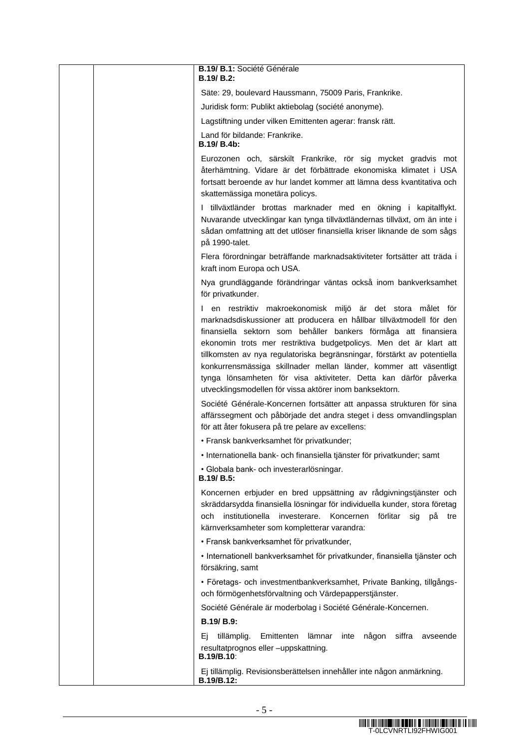| B.19/ B.1: Société Générale<br>$B.19/B.2$ :                                                                                                                                                                                                                                                                                                                                                                                                                                                                                                                  |
|--------------------------------------------------------------------------------------------------------------------------------------------------------------------------------------------------------------------------------------------------------------------------------------------------------------------------------------------------------------------------------------------------------------------------------------------------------------------------------------------------------------------------------------------------------------|
| Säte: 29, boulevard Haussmann, 75009 Paris, Frankrike.                                                                                                                                                                                                                                                                                                                                                                                                                                                                                                       |
| Juridisk form: Publikt aktiebolag (société anonyme).                                                                                                                                                                                                                                                                                                                                                                                                                                                                                                         |
| Lagstiftning under vilken Emittenten agerar: fransk rätt.                                                                                                                                                                                                                                                                                                                                                                                                                                                                                                    |
| Land för bildande: Frankrike.<br>B.19/ B.4b:                                                                                                                                                                                                                                                                                                                                                                                                                                                                                                                 |
| Eurozonen och, särskilt Frankrike, rör sig mycket gradvis mot<br>återhämtning. Vidare är det förbättrade ekonomiska klimatet i USA<br>fortsatt beroende av hur landet kommer att lämna dess kvantitativa och<br>skattemässiga monetära policys.                                                                                                                                                                                                                                                                                                              |
| I tillväxtländer brottas marknader med en ökning i kapitalflykt.<br>Nuvarande utvecklingar kan tynga tillväxtländernas tillväxt, om än inte i<br>sådan omfattning att det utlöser finansiella kriser liknande de som sågs<br>på 1990-talet.                                                                                                                                                                                                                                                                                                                  |
| Flera förordningar beträffande marknadsaktiviteter fortsätter att träda i<br>kraft inom Europa och USA.                                                                                                                                                                                                                                                                                                                                                                                                                                                      |
| Nya grundläggande förändringar väntas också inom bankverksamhet<br>för privatkunder.                                                                                                                                                                                                                                                                                                                                                                                                                                                                         |
| I en restriktiv makroekonomisk miljö är det stora målet för<br>marknadsdiskussioner att producera en hållbar tillväxtmodell för den<br>finansiella sektorn som behåller bankers förmåga att finansiera<br>ekonomin trots mer restriktiva budgetpolicys. Men det är klart att<br>tillkomsten av nya regulatoriska begränsningar, förstärkt av potentiella<br>konkurrensmässiga skillnader mellan länder, kommer att väsentligt<br>tynga lönsamheten för visa aktiviteter. Detta kan därför påverka<br>utvecklingsmodellen för vissa aktörer inom banksektorn. |
| Société Générale-Koncernen fortsätter att anpassa strukturen för sina<br>affärssegment och påbörjade det andra steget i dess omvandlingsplan<br>för att åter fokusera på tre pelare av excellens:                                                                                                                                                                                                                                                                                                                                                            |
| · Fransk bankverksamhet för privatkunder;                                                                                                                                                                                                                                                                                                                                                                                                                                                                                                                    |
| • Internationella bank- och finansiella tjänster för privatkunder; samt                                                                                                                                                                                                                                                                                                                                                                                                                                                                                      |
| · Globala bank- och investerarlösningar.<br>B.19/ B.5:                                                                                                                                                                                                                                                                                                                                                                                                                                                                                                       |
| Koncernen erbjuder en bred uppsättning av rådgivningstjänster och<br>skräddarsydda finansiella lösningar för individuella kunder, stora företag<br>institutionella<br>och<br>investerare.<br>Koncernen förlitar<br>på tre<br>sig<br>kärnverksamheter som kompletterar varandra:                                                                                                                                                                                                                                                                              |
| · Fransk bankverksamhet för privatkunder,                                                                                                                                                                                                                                                                                                                                                                                                                                                                                                                    |
| · Internationell bankverksamhet för privatkunder, finansiella tjänster och<br>försäkring, samt                                                                                                                                                                                                                                                                                                                                                                                                                                                               |
| · Företags- och investmentbankverksamhet, Private Banking, tillgångs-<br>och förmögenhetsförvaltning och Värdepapperstjänster.                                                                                                                                                                                                                                                                                                                                                                                                                               |
| Société Générale är moderbolag i Société Générale-Koncernen.                                                                                                                                                                                                                                                                                                                                                                                                                                                                                                 |
| B.19/ B.9:                                                                                                                                                                                                                                                                                                                                                                                                                                                                                                                                                   |
| Emittenten<br>någon<br>tillämplig.<br>lämnar<br>inte<br>siffra<br>Ei<br>avseende<br>resultatprognos eller -uppskattning.<br>B.19/B.10:                                                                                                                                                                                                                                                                                                                                                                                                                       |
| Ej tillämplig. Revisionsberättelsen innehåller inte någon anmärkning.<br>B.19/B.12:                                                                                                                                                                                                                                                                                                                                                                                                                                                                          |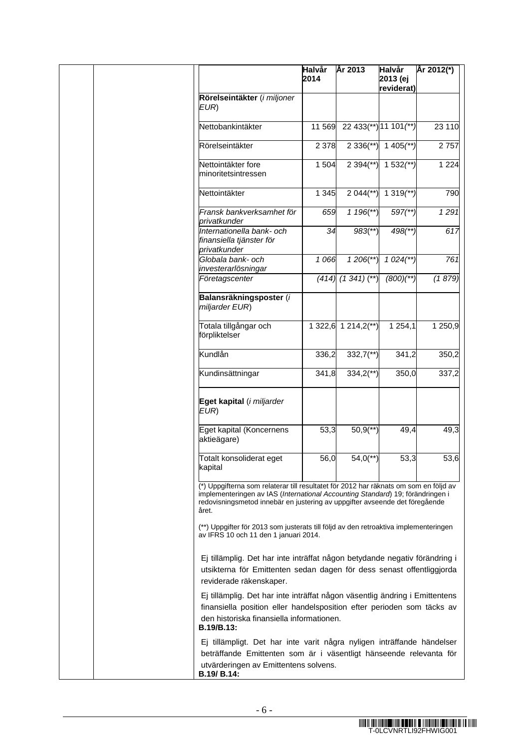|                                                                                                                                                                                                                                                                 | Halvår<br>2014 | År 2013                 | Halvår<br>2013 (ej<br>reviderat) | År 2012(*) |
|-----------------------------------------------------------------------------------------------------------------------------------------------------------------------------------------------------------------------------------------------------------------|----------------|-------------------------|----------------------------------|------------|
| Rörelseintäkter (i miljoner<br>EUR)                                                                                                                                                                                                                             |                |                         |                                  |            |
| Nettobankintäkter                                                                                                                                                                                                                                               | 11 569         | 22 433(**) 11 101(**)   |                                  | 23 110     |
| Rörelseintäkter                                                                                                                                                                                                                                                 | 2 3 7 8        | $2336$ <sup>(**)</sup>  | 1 405 $(*)$                      | 2757       |
| Nettointäkter fore<br>minoritetsintressen                                                                                                                                                                                                                       | 1 504          | 2 394 $(**)$            | $1532$ <sup>**</sup> )           | 1 2 2 4    |
| Nettointäkter                                                                                                                                                                                                                                                   | 1 3 4 5        | $2044$ <sup>**</sup> )  | $1319$ <sup>**</sup> )           | 790        |
| Fransk bankverksamhet för<br>privatkunder                                                                                                                                                                                                                       | 659            | $1196$ (**)             | $597$ <sup>**</sup> )            | 1291       |
| Internationella bank- och<br>finansiella tjänster för<br>privatkunder                                                                                                                                                                                           | 34             | $983$ <sup>**</sup> )   | 498(**)                          | 617        |
| Globala bank- och<br>investerarlösningar                                                                                                                                                                                                                        | 1066           | $1206$ <sup>**</sup> )  | $1024$ <sup>**</sup>             | 761        |
| Företagscenter                                                                                                                                                                                                                                                  |                | $(414)$ $(1341)$ $(**)$ | $(800)(**)$                      | (1879)     |
| Balansräkningsposter (i<br>miljarder EUR)                                                                                                                                                                                                                       |                |                         |                                  |            |
| Totala tillgångar och<br>förpliktelser                                                                                                                                                                                                                          |                | 1 322,6 1 214,2(**)     | 1 2 5 4, 1                       | 1 250,9    |
| Kundlån                                                                                                                                                                                                                                                         | 336,2          | $332,7$ <sup>**</sup> ) | 341,2                            | 350,2      |
| Kundinsättningar                                                                                                                                                                                                                                                | 341,8          | $334,2$ <sup>**</sup> ) | 350,0                            | 337,2      |
| Eget kapital (i miljarder<br>EUR)                                                                                                                                                                                                                               |                |                         |                                  |            |
| Eget kapital (Koncernens<br>aktieägare)                                                                                                                                                                                                                         | 53,3           | $50,9$ <sup>**</sup> )  | 49,4                             | 49,3       |
| Totalt konsoliderat eget<br>kapital                                                                                                                                                                                                                             | 56,0           | $54,0$ <sup>**</sup> )  | 53,3                             | 53,6       |
| (*) Uppgifterna som relaterar till resultatet för 2012 har räknats om som en följd av<br>implementeringen av IAS (International Accounting Standard) 19; förändringen i<br>redovisningsmetod innebär en justering av uppgifter avseende det föregående<br>året. |                |                         |                                  |            |
| (**) Uppgifter för 2013 som justerats till följd av den retroaktiva implementeringen<br>av IFRS 10 och 11 den 1 januari 2014.                                                                                                                                   |                |                         |                                  |            |
| Ej tillämplig. Det har inte inträffat någon betydande negativ förändring i<br>utsikterna för Emittenten sedan dagen för dess senast offentliggjorda<br>reviderade räkenskaper.                                                                                  |                |                         |                                  |            |
| Ej tillämplig. Det har inte inträffat någon väsentlig ändring i Emittentens<br>finansiella position eller handelsposition efter perioden som täcks av<br>den historiska finansiella informationen.<br>B.19/B.13:                                                |                |                         |                                  |            |
| Ej tillämpligt. Det har inte varit några nyligen inträffande händelser<br>beträffande Emittenten som är i väsentligt hänseende relevanta för<br>utvärderingen av Emittentens solvens.<br>B.19/ B.14:                                                            |                |                         |                                  |            |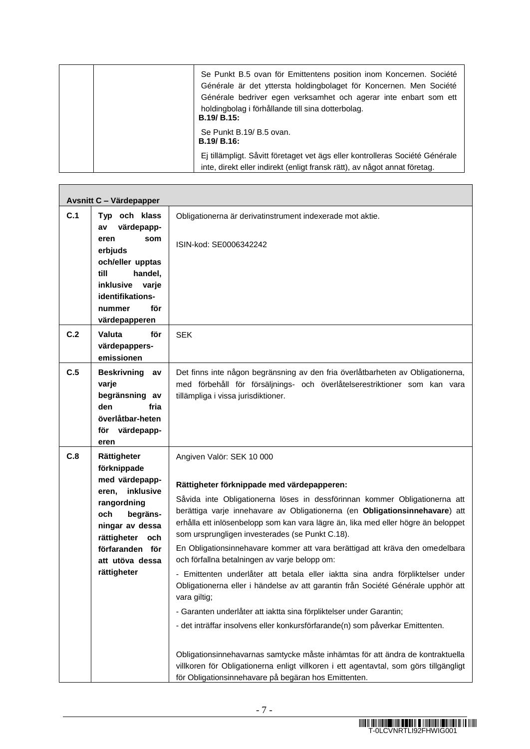|  | Se Punkt B.5 ovan för Emittentens position inom Koncernen. Société<br>Générale är det yttersta holdingbolaget för Koncernen. Men Société<br>Générale bedriver egen verksamhet och agerar inte enbart som ett<br>holdingbolag i förhållande till sina dotterbolag.<br><b>B.19/ B.15:</b> |
|--|-----------------------------------------------------------------------------------------------------------------------------------------------------------------------------------------------------------------------------------------------------------------------------------------|
|  | Se Punkt B.19/ B.5 ovan.<br><b>B.19/ B.16:</b>                                                                                                                                                                                                                                          |
|  | Ej tillämpligt. Såvitt företaget vet ägs eller kontrolleras Société Générale<br>inte, direkt eller indirekt (enligt fransk rätt), av något annat företag.                                                                                                                               |

|                                                           | <b>Avsnitt C - Värdepapper</b>     |                                                                                                                                                           |
|-----------------------------------------------------------|------------------------------------|-----------------------------------------------------------------------------------------------------------------------------------------------------------|
| C.1                                                       | Typ och klass                      | Obligationerna är derivatinstrument indexerade mot aktie.                                                                                                 |
| värdepapp-<br>av                                          |                                    |                                                                                                                                                           |
|                                                           | eren<br>som<br>erbjuds             | ISIN-kod: SE0006342242                                                                                                                                    |
| och/eller upptas<br>till<br>handel,<br>inklusive<br>varje |                                    |                                                                                                                                                           |
|                                                           |                                    |                                                                                                                                                           |
|                                                           |                                    |                                                                                                                                                           |
|                                                           | identifikations-<br>för<br>nummer  |                                                                                                                                                           |
|                                                           | värdepapperen                      |                                                                                                                                                           |
| C.2                                                       | Valuta<br>för                      | <b>SEK</b>                                                                                                                                                |
|                                                           | värdepappers-                      |                                                                                                                                                           |
|                                                           | emissionen                         |                                                                                                                                                           |
| C.5                                                       | <b>Beskrivning</b><br>av           | Det finns inte någon begränsning av den fria överlåtbarheten av Obligationerna,                                                                           |
|                                                           | varje<br>begränsning av            | med förbehåll för försäljnings- och överlåtelserestriktioner som kan vara<br>tillämpliga i vissa jurisdiktioner.                                          |
|                                                           | fria<br>den                        |                                                                                                                                                           |
|                                                           | överlåtbar-heten                   |                                                                                                                                                           |
|                                                           | för<br>värdepapp-                  |                                                                                                                                                           |
|                                                           | eren                               |                                                                                                                                                           |
| C.8<br>Rättigheter<br>förknippade                         |                                    | Angiven Valör: SEK 10 000                                                                                                                                 |
| med värdepapp-                                            |                                    |                                                                                                                                                           |
|                                                           | inklusive<br>eren,                 | Rättigheter förknippade med värdepapperen:                                                                                                                |
|                                                           | rangordning                        | Såvida inte Obligationerna löses in dessförinnan kommer Obligationerna att<br>berättiga varje innehavare av Obligationerna (en Obligationsinnehavare) att |
|                                                           | begräns-<br>och<br>ningar av dessa | erhålla ett inlösenbelopp som kan vara lägre än, lika med eller högre än beloppet                                                                         |
|                                                           | rättigheter<br>och                 | som ursprungligen investerades (se Punkt C.18).                                                                                                           |
|                                                           | förfaranden för                    | En Obligationsinnehavare kommer att vara berättigad att kräva den omedelbara                                                                              |
| att utöva dessa                                           |                                    | och förfallna betalningen av varje belopp om:                                                                                                             |
|                                                           | rättigheter                        | - Emittenten underlåter att betala eller iaktta sina andra förpliktelser under                                                                            |
|                                                           |                                    | Obligationerna eller i händelse av att garantin från Société Générale upphör att<br>vara giltig;                                                          |
|                                                           |                                    | - Garanten underlåter att iaktta sina förpliktelser under Garantin;                                                                                       |
|                                                           |                                    | - det inträffar insolvens eller konkursförfarande(n) som påverkar Emittenten.                                                                             |
|                                                           |                                    |                                                                                                                                                           |
|                                                           |                                    | Obligationsinnehavarnas samtycke måste inhämtas för att ändra de kontraktuella                                                                            |
|                                                           |                                    | villkoren för Obligationerna enligt villkoren i ett agentavtal, som görs tillgängligt                                                                     |
|                                                           |                                    | för Obligationsinnehavare på begäran hos Emittenten.                                                                                                      |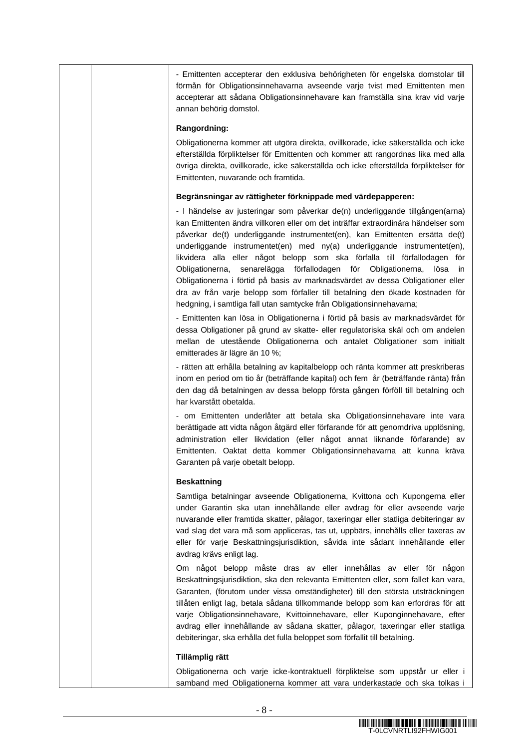|  | - Emittenten accepterar den exklusiva behörigheten för engelska domstolar till<br>förmån för Obligationsinnehavarna avseende varje tvist med Emittenten men<br>accepterar att sådana Obligationsinnehavare kan framställa sina krav vid varje<br>annan behörig domstol.                                                                                                                                                                                                                                                                                                                                                                                                                                                                                                                                                                                                                                                                                                                                                                                                                                                                                                                               |
|--|-------------------------------------------------------------------------------------------------------------------------------------------------------------------------------------------------------------------------------------------------------------------------------------------------------------------------------------------------------------------------------------------------------------------------------------------------------------------------------------------------------------------------------------------------------------------------------------------------------------------------------------------------------------------------------------------------------------------------------------------------------------------------------------------------------------------------------------------------------------------------------------------------------------------------------------------------------------------------------------------------------------------------------------------------------------------------------------------------------------------------------------------------------------------------------------------------------|
|  | Rangordning:                                                                                                                                                                                                                                                                                                                                                                                                                                                                                                                                                                                                                                                                                                                                                                                                                                                                                                                                                                                                                                                                                                                                                                                          |
|  | Obligationerna kommer att utgöra direkta, ovillkorade, icke säkerställda och icke<br>efterställda förpliktelser för Emittenten och kommer att rangordnas lika med alla<br>övriga direkta, ovillkorade, icke säkerställda och icke efterställda förpliktelser för<br>Emittenten, nuvarande och framtida.                                                                                                                                                                                                                                                                                                                                                                                                                                                                                                                                                                                                                                                                                                                                                                                                                                                                                               |
|  | Begränsningar av rättigheter förknippade med värdepapperen:                                                                                                                                                                                                                                                                                                                                                                                                                                                                                                                                                                                                                                                                                                                                                                                                                                                                                                                                                                                                                                                                                                                                           |
|  | - I händelse av justeringar som påverkar de(n) underliggande tillgången(arna)<br>kan Emittenten ändra villkoren eller om det inträffar extraordinära händelser som<br>påverkar de(t) underliggande instrumentet(en), kan Emittenten ersätta de(t)<br>underliggande instrumentet(en) med ny(a) underliggande instrumentet(en),<br>likvidera alla eller något belopp som ska förfalla till förfallodagen för<br>senarelägga förfallodagen för Obligationerna,<br>Obligationerna,<br>lösa<br>ın<br>Obligationerna i förtid på basis av marknadsvärdet av dessa Obligationer eller<br>dra av från varje belopp som förfaller till betalning den ökade kostnaden för<br>hedgning, i samtliga fall utan samtycke från Obligationsinnehavarna;<br>- Emittenten kan lösa in Obligationerna i förtid på basis av marknadsvärdet för<br>dessa Obligationer på grund av skatte- eller regulatoriska skäl och om andelen<br>mellan de utestående Obligationerna och antalet Obligationer som initialt<br>emitterades är lägre än 10 %;<br>- rätten att erhålla betalning av kapitalbelopp och ränta kommer att preskriberas<br>inom en period om tio år (beträffande kapital) och fem år (beträffande ränta) från |
|  | den dag då betalningen av dessa belopp första gången förföll till betalning och<br>har kvarstått obetalda.                                                                                                                                                                                                                                                                                                                                                                                                                                                                                                                                                                                                                                                                                                                                                                                                                                                                                                                                                                                                                                                                                            |
|  | - om Emittenten underlåter att betala ska Obligationsinnehavare inte vara<br>berättigade att vidta någon åtgärd eller förfarande för att genomdriva upplösning,<br>administration eller likvidation (eller något annat liknande förfarande) av<br>Emittenten. Oaktat detta kommer Obligationsinnehavarna att kunna kräva<br>Garanten på varje obetalt belopp.                                                                                                                                                                                                                                                                                                                                                                                                                                                                                                                                                                                                                                                                                                                                                                                                                                         |
|  | <b>Beskattning</b>                                                                                                                                                                                                                                                                                                                                                                                                                                                                                                                                                                                                                                                                                                                                                                                                                                                                                                                                                                                                                                                                                                                                                                                    |
|  | Samtliga betalningar avseende Obligationerna, Kvittona och Kupongerna eller<br>under Garantin ska utan innehållande eller avdrag för eller avseende varje<br>nuvarande eller framtida skatter, pålagor, taxeringar eller statliga debiteringar av<br>vad slag det vara må som appliceras, tas ut, uppbärs, innehålls eller taxeras av<br>eller för varje Beskattningsjurisdiktion, såvida inte sådant innehållande eller<br>avdrag krävs enligt lag.                                                                                                                                                                                                                                                                                                                                                                                                                                                                                                                                                                                                                                                                                                                                                  |
|  | Om något belopp måste dras av eller innehållas av eller för någon<br>Beskattningsjurisdiktion, ska den relevanta Emittenten eller, som fallet kan vara,<br>Garanten, (förutom under vissa omständigheter) till den största utsträckningen<br>tillåten enligt lag, betala sådana tillkommande belopp som kan erfordras för att<br>varje Obligationsinnehavare, Kvittoinnehavare, eller Kuponginnehavare, efter<br>avdrag eller innehållande av sådana skatter, pålagor, taxeringar eller statliga<br>debiteringar, ska erhålla det fulla beloppet som förfallit till betalning.                                                                                                                                                                                                                                                                                                                                                                                                                                                                                                                                                                                                                        |
|  | Tillämplig rätt                                                                                                                                                                                                                                                                                                                                                                                                                                                                                                                                                                                                                                                                                                                                                                                                                                                                                                                                                                                                                                                                                                                                                                                       |
|  | Obligationerna och varje icke-kontraktuell förpliktelse som uppstår ur eller i<br>samband med Obligationerna kommer att vara underkastade och ska tolkas i                                                                                                                                                                                                                                                                                                                                                                                                                                                                                                                                                                                                                                                                                                                                                                                                                                                                                                                                                                                                                                            |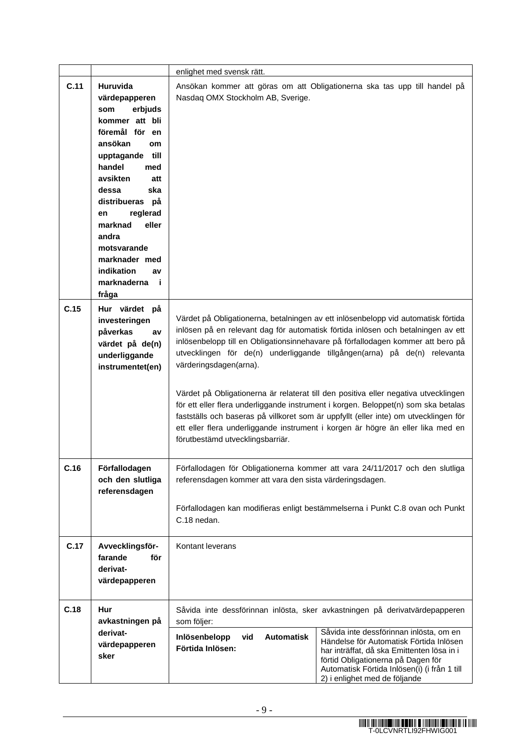|      |                                                                                                                                                                                                                                                                                                                                     | enlighet med svensk rätt.                                                                                                                                                                                                                                                                                                                                                                                                                                                                                                                                                                                                           |  |  |
|------|-------------------------------------------------------------------------------------------------------------------------------------------------------------------------------------------------------------------------------------------------------------------------------------------------------------------------------------|-------------------------------------------------------------------------------------------------------------------------------------------------------------------------------------------------------------------------------------------------------------------------------------------------------------------------------------------------------------------------------------------------------------------------------------------------------------------------------------------------------------------------------------------------------------------------------------------------------------------------------------|--|--|
| C.11 | Huruvida<br>värdepapperen<br>erbjuds<br>som<br>kommer att bli<br>föremål för en<br>ansökan<br><b>om</b><br>upptagande till<br>handel<br>med<br>avsikten<br>att<br>dessa<br>ska<br>distribueras på<br>reglerad<br>en<br>marknad<br>eller<br>andra<br>motsvarande<br>marknader med<br>indikation<br>av<br>marknaderna<br>- i<br>fråga | Ansökan kommer att göras om att Obligationerna ska tas upp till handel på<br>Nasdaq OMX Stockholm AB, Sverige.                                                                                                                                                                                                                                                                                                                                                                                                                                                                                                                      |  |  |
| C.15 | Hur värdet på<br>investeringen<br>påverkas<br>av<br>värdet på de(n)<br>underliggande<br>instrumentet(en)                                                                                                                                                                                                                            | Värdet på Obligationerna, betalningen av ett inlösenbelopp vid automatisk förtida<br>inlösen på en relevant dag för automatisk förtida inlösen och betalningen av ett<br>inlösenbelopp till en Obligationsinnehavare på förfallodagen kommer att bero på<br>utvecklingen för de(n) underliggande tillgången(arna) på de(n) relevanta<br>värderingsdagen(arna).<br>Värdet på Obligationerna är relaterat till den positiva eller negativa utvecklingen<br>för ett eller flera underliggande instrument i korgen. Beloppet(n) som ska betalas<br>fastställs och baseras på villkoret som är uppfyllt (eller inte) om utvecklingen för |  |  |
|      |                                                                                                                                                                                                                                                                                                                                     | ett eller flera underliggande instrument i korgen är högre än eller lika med en<br>förutbestämd utvecklingsbarriär.                                                                                                                                                                                                                                                                                                                                                                                                                                                                                                                 |  |  |
| C.16 | Förfallodagen<br>och den slutliga<br>referensdagen                                                                                                                                                                                                                                                                                  | Förfallodagen för Obligationerna kommer att vara 24/11/2017 och den slutliga<br>referensdagen kommer att vara den sista värderingsdagen.<br>Förfallodagen kan modifieras enligt bestämmelserna i Punkt C.8 ovan och Punkt<br>C.18 nedan.                                                                                                                                                                                                                                                                                                                                                                                            |  |  |
| C.17 | Avvecklingsför-<br>farande<br>för<br>derivat-<br>värdepapperen                                                                                                                                                                                                                                                                      | Kontant leverans                                                                                                                                                                                                                                                                                                                                                                                                                                                                                                                                                                                                                    |  |  |
| C.18 | Hur<br>avkastningen på<br>derivat-<br>värdepapperen<br>sker                                                                                                                                                                                                                                                                         | Såvida inte dessförinnan inlösta, sker avkastningen på derivatvärdepapperen<br>som följer:<br>Såvida inte dessförinnan inlösta, om en<br><b>Automatisk</b><br>Inlösenbelopp<br>vid<br>Händelse för Automatisk Förtida Inlösen<br>Förtida Inlösen:<br>har inträffat, då ska Emittenten lösa in i<br>förtid Obligationerna på Dagen för<br>Automatisk Förtida Inlösen(i) (i från 1 till<br>2) i enlighet med de följande                                                                                                                                                                                                              |  |  |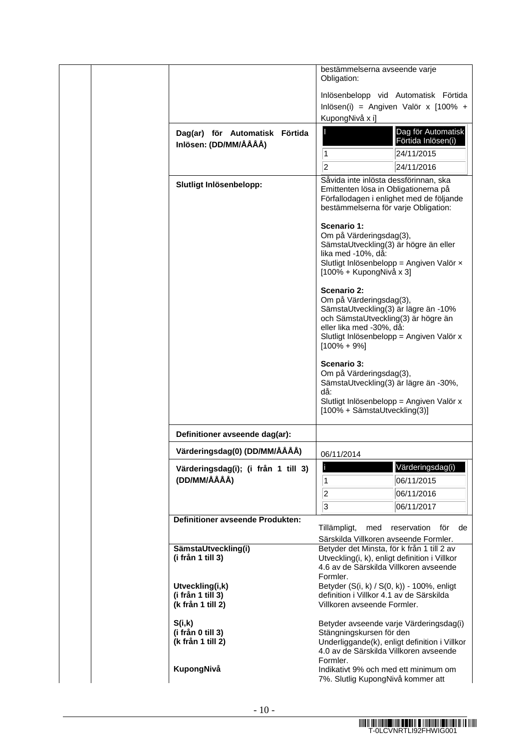|                                                           | bestämmelserna avseende varje<br>Obligation:                                                                                                                                                                     |
|-----------------------------------------------------------|------------------------------------------------------------------------------------------------------------------------------------------------------------------------------------------------------------------|
|                                                           | Inlösenbelopp vid Automatisk Förtida<br>Inlösen(i) = Angiven Valör x $[100\% +$<br>KupongNivå x i]                                                                                                               |
| Dag(ar) för Automatisk Förtida<br>Inlösen: (DD/MM/ÅÅÅÅ)   | Dag för Automatisk<br>Förtida Inlösen(i)<br>$\overline{1}$<br>24/11/2015                                                                                                                                         |
|                                                           | $\overline{2}$<br>24/11/2016                                                                                                                                                                                     |
| Slutligt Inlösenbelopp:                                   | Såvida inte inlösta dessförinnan, ska<br>Emittenten lösa in Obligationerna på<br>Förfallodagen i enlighet med de följande<br>bestämmelserna för varje Obligation:                                                |
|                                                           | Scenario 1:<br>Om på Värderingsdag(3),<br>SämstaUtveckling(3) är högre än eller<br>lika med -10%, då:<br>Slutligt Inlösenbelopp = Angiven Valör x<br>[100% + KupongNivå x 3]                                     |
|                                                           | Scenario 2:<br>Om på Värderingsdag(3),<br>SämstaUtveckling(3) är lägre än -10%<br>och SämstaUtveckling(3) är högre än<br>eller lika med -30%, då:<br>Slutligt Inlösenbelopp = Angiven Valör x<br>$[100\% + 9\%]$ |
|                                                           | Scenario 3:<br>Om på Värderingsdag(3),<br>SämstaUtveckling(3) är lägre än -30%,<br>då:<br>Slutligt Inlösenbelopp = Angiven Valör x<br>[100% + SämstaUtveckling(3)]                                               |
| Definitioner avseende dag(ar):                            |                                                                                                                                                                                                                  |
| Värderingsdag(0) (DD/MM/ÅÅÅÅ)                             | 06/11/2014                                                                                                                                                                                                       |
| Värderingsdag(i); (i från 1 till 3)<br>(DD/MM/ÅÅÅÅ)       | Värderingsdag(i)<br>06/11/2015<br>1<br>$ 2\rangle$<br>06/11/2016                                                                                                                                                 |
|                                                           | $\overline{3}$<br>06/11/2017                                                                                                                                                                                     |
| <b>Definitioner avseende Produkten:</b>                   | Tillämpligt,<br>reservation<br>med<br>för<br>de<br>Särskilda Villkoren avseende Formler.                                                                                                                         |
| SämstaUtveckling(i)<br>(i från 1 till 3)                  | Betyder det Minsta, för k från 1 till 2 av<br>Utveckling(i, k), enligt definition i Villkor<br>4.6 av de Särskilda Villkoren avseende<br>Formler.                                                                |
| Utveckling(i,k)<br>(i från 1 till 3)<br>(k från 1 till 2) | Betyder (S(i, k) / S(0, k)) - 100%, enligt<br>definition i Villkor 4.1 av de Särskilda<br>Villkoren avseende Formler.                                                                                            |
| S(i,k)<br>(i från 0 till 3)<br>(k från 1 till 2)          | Betyder avseende varje Värderingsdag(i)<br>Stängningskursen för den<br>Underliggande(k), enligt definition i Villkor<br>4.0 av de Särskilda Villkoren avseende<br>Formler.                                       |
| KupongNivå                                                | Indikativt 9% och med ett minimum om<br>7%. Slutlig KupongNivå kommer att                                                                                                                                        |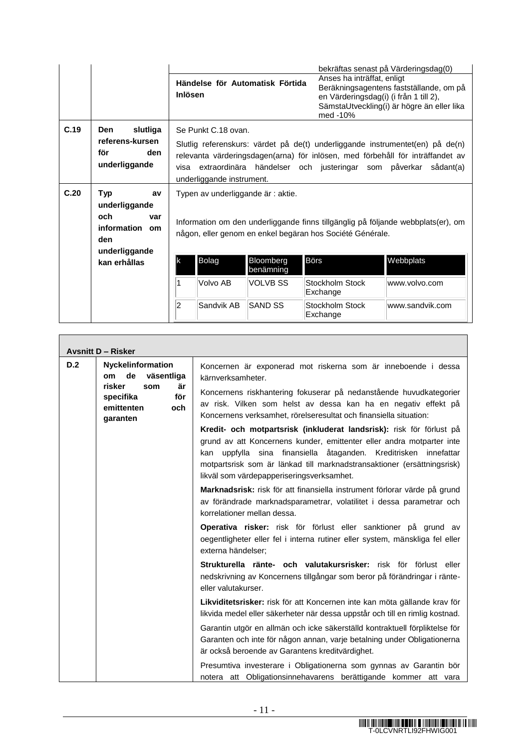|                                                                                                                                                                                                                                                                                    |                                           |                                                   |                        |                                                                                  | bekräftas senast på Värderingsdag(0)                                                                                                                                         |
|------------------------------------------------------------------------------------------------------------------------------------------------------------------------------------------------------------------------------------------------------------------------------------|-------------------------------------------|---------------------------------------------------|------------------------|----------------------------------------------------------------------------------|------------------------------------------------------------------------------------------------------------------------------------------------------------------------------|
|                                                                                                                                                                                                                                                                                    |                                           | Händelse för Automatisk Förtida<br><b>Inlösen</b> |                        | Anses ha inträffat, enligt<br>en Värderingsdag(i) (i från 1 till 2),<br>med -10% | Beräkningsagentens fastställande, om på<br>SämstaUtveckling(i) är högre än eller lika                                                                                        |
| C.19                                                                                                                                                                                                                                                                               | slutliga<br><b>Den</b><br>referens-kursen | Se Punkt C.18 ovan.                               |                        |                                                                                  |                                                                                                                                                                              |
|                                                                                                                                                                                                                                                                                    | för<br>den<br>underliggande               | underliggande instrument.                         |                        | visa extraordinära händelser och justeringar som påverkar                        | Slutlig referenskurs: värdet på de(t) underliggande instrumentet(en) på de(n)<br>relevanta värderingsdagen(arna) för inlösen, med förbehåll för inträffandet av<br>sådant(a) |
| C.20<br>Typ<br>Typen av underliggande är : aktie.<br>av<br>underliggande<br>och.<br>var<br>Information om den underliggande finns tillgänglig på följande webbplats(er), om<br>information om<br>någon, eller genom en enkel begäran hos Société Générale.<br>den<br>underliggande |                                           |                                                   |                        |                                                                                  |                                                                                                                                                                              |
|                                                                                                                                                                                                                                                                                    | kan erhållas                              | Bolag                                             | Bloomberg<br>benämning | Börs                                                                             | Webbplats                                                                                                                                                                    |
|                                                                                                                                                                                                                                                                                    |                                           | Volvo AB                                          | <b>VOLVB SS</b>        | Stockholm Stock<br>Exchange                                                      | www.volvo.com                                                                                                                                                                |
|                                                                                                                                                                                                                                                                                    |                                           | 2<br>Sandvik AB                                   | <b>SAND SS</b>         | Stockholm Stock<br>Exchange                                                      | www.sandvik.com                                                                                                                                                              |

 $\Box$ 

|                                             | <b>Avsnitt D - Risker</b>                                                                                                                                                                                                                                                                                                                    |                                                                                                                                                                                                           |
|---------------------------------------------|----------------------------------------------------------------------------------------------------------------------------------------------------------------------------------------------------------------------------------------------------------------------------------------------------------------------------------------------|-----------------------------------------------------------------------------------------------------------------------------------------------------------------------------------------------------------|
| D.2<br><b>Nyckelinformation</b><br>de<br>om | väsentliga                                                                                                                                                                                                                                                                                                                                   | Koncernen är exponerad mot riskerna som är inneboende i dessa<br>kärnverksamheter.                                                                                                                        |
|                                             | risker<br>är<br>som<br>för<br>specifika<br>emittenten<br>och<br>garanten                                                                                                                                                                                                                                                                     | Koncernens riskhantering fokuserar på nedanstående huvudkategorier<br>av risk. Vilken som helst av dessa kan ha en negativ effekt på<br>Koncernens verksamhet, rörelseresultat och finansiella situation: |
|                                             | Kredit- och motpartsrisk (inkluderat landsrisk): risk för förlust på<br>grund av att Koncernens kunder, emittenter eller andra motparter inte<br>uppfylla sina finansiella åtaganden. Kreditrisken innefattar<br>kan<br>motpartsrisk som är länkad till marknadstransaktioner (ersättningsrisk)<br>likväl som värdepapperiseringsverksamhet. |                                                                                                                                                                                                           |
|                                             |                                                                                                                                                                                                                                                                                                                                              | Marknadsrisk: risk för att finansiella instrument förlorar värde på grund<br>av förändrade marknadsparametrar, volatilitet i dessa parametrar och<br>korrelationer mellan dessa.                          |
|                                             |                                                                                                                                                                                                                                                                                                                                              | Operativa risker: risk för förlust eller sanktioner på grund av<br>oegentligheter eller fel i interna rutiner eller system, mänskliga fel eller<br>externa händelser;                                     |
|                                             |                                                                                                                                                                                                                                                                                                                                              | Strukturella ränte- och valutakursrisker: risk för förlust eller<br>nedskrivning av Koncernens tillgångar som beror på förändringar i ränte-<br>eller valutakurser.                                       |
|                                             |                                                                                                                                                                                                                                                                                                                                              | Likviditetsrisker: risk för att Koncernen inte kan möta gällande krav för<br>likvida medel eller säkerheter när dessa uppstår och till en rimlig kostnad.                                                 |
|                                             |                                                                                                                                                                                                                                                                                                                                              | Garantin utgör en allmän och icke säkerställd kontraktuell förpliktelse för<br>Garanten och inte för någon annan, varje betalning under Obligationerna<br>är också beroende av Garantens kreditvärdighet. |
|                                             |                                                                                                                                                                                                                                                                                                                                              | Presumtiva investerare i Obligationerna som gynnas av Garantin bör<br>notera att Obligationsinnehavarens berättigande kommer att vara                                                                     |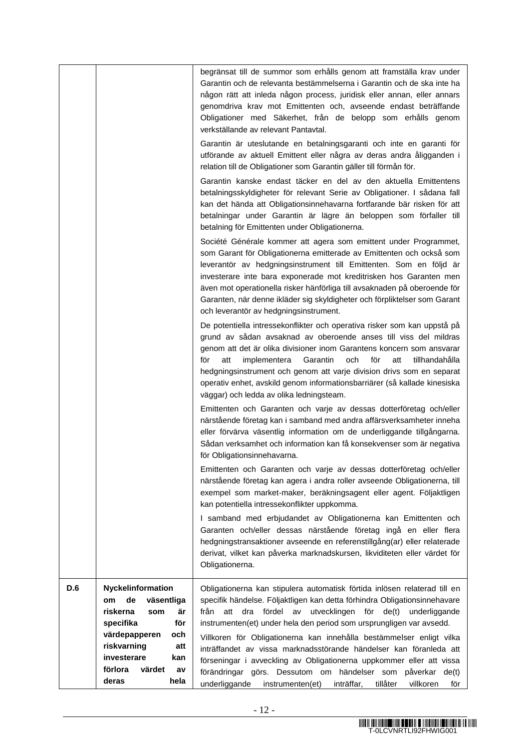|     |                                                                                                                                                                                                          | begränsat till de summor som erhålls genom att framställa krav under<br>Garantin och de relevanta bestämmelserna i Garantin och de ska inte ha<br>någon rätt att inleda någon process, juridisk eller annan, eller annars<br>genomdriva krav mot Emittenten och, avseende endast beträffande<br>Obligationer med Säkerhet, från de belopp som erhålls genom<br>verkställande av relevant Pantavtal.<br>Garantin är uteslutande en betalningsgaranti och inte en garanti för<br>utförande av aktuell Emittent eller några av deras andra åligganden i<br>relation till de Obligationer som Garantin gäller till förmån för.<br>Garantin kanske endast täcker en del av den aktuella Emittentens<br>betalningsskyldigheter för relevant Serie av Obligationer. I sådana fall<br>kan det hända att Obligationsinnehavarna fortfarande bär risken för att<br>betalningar under Garantin är lägre än beloppen som förfaller till<br>betalning för Emittenten under Obligationerna.<br>Société Générale kommer att agera som emittent under Programmet,<br>som Garant för Obligationerna emitterade av Emittenten och också som<br>leverantör av hedgningsinstrument till Emittenten. Som en följd är<br>investerare inte bara exponerade mot kreditrisken hos Garanten men<br>även mot operationella risker hänförliga till avsaknaden på oberoende för<br>Garanten, när denne ikläder sig skyldigheter och förpliktelser som Garant<br>och leverantör av hedgningsinstrument.<br>De potentiella intressekonflikter och operativa risker som kan uppstå på<br>grund av sådan avsaknad av oberoende anses till viss del mildras<br>genom att det är olika divisioner inom Garantens koncern som ansvarar<br>Garantin<br>och<br>för<br>tillhandahålla<br>för<br>att<br>implementera<br>att<br>hedgningsinstrument och genom att varje division drivs som en separat<br>operativ enhet, avskild genom informationsbarriärer (så kallade kinesiska<br>väggar) och ledda av olika ledningsteam.<br>Emittenten och Garanten och varje av dessas dotterföretag och/eller<br>närstående företag kan i samband med andra affärsverksamheter inneha<br>eller förvärva väsentlig information om de underliggande tillgångarna.<br>Sådan verksamhet och information kan få konsekvenser som är negativa<br>för Obligationsinnehavarna.<br>Emittenten och Garanten och varje av dessas dotterföretag och/eller<br>närstående företag kan agera i andra roller avseende Obligationerna, till<br>exempel som market-maker, beräkningsagent eller agent. Följaktligen<br>kan potentiella intressekonflikter uppkomma.<br>I samband med erbjudandet av Obligationerna kan Emittenten och<br>Garanten och/eller dessas närstående företag ingå en eller flera |
|-----|----------------------------------------------------------------------------------------------------------------------------------------------------------------------------------------------------------|----------------------------------------------------------------------------------------------------------------------------------------------------------------------------------------------------------------------------------------------------------------------------------------------------------------------------------------------------------------------------------------------------------------------------------------------------------------------------------------------------------------------------------------------------------------------------------------------------------------------------------------------------------------------------------------------------------------------------------------------------------------------------------------------------------------------------------------------------------------------------------------------------------------------------------------------------------------------------------------------------------------------------------------------------------------------------------------------------------------------------------------------------------------------------------------------------------------------------------------------------------------------------------------------------------------------------------------------------------------------------------------------------------------------------------------------------------------------------------------------------------------------------------------------------------------------------------------------------------------------------------------------------------------------------------------------------------------------------------------------------------------------------------------------------------------------------------------------------------------------------------------------------------------------------------------------------------------------------------------------------------------------------------------------------------------------------------------------------------------------------------------------------------------------------------------------------------------------------------------------------------------------------------------------------------------------------------------------------------------------------------------------------------------------------------------------------------------------------------------------------------------------------------------------------------------------------------------------------------------------------------------------------------------------------------------------------------------------------------------|
|     |                                                                                                                                                                                                          | hedgningstransaktioner avseende en referenstillgång(ar) eller relaterade<br>derivat, vilket kan påverka marknadskursen, likviditeten eller värdet för<br>Obligationerna.                                                                                                                                                                                                                                                                                                                                                                                                                                                                                                                                                                                                                                                                                                                                                                                                                                                                                                                                                                                                                                                                                                                                                                                                                                                                                                                                                                                                                                                                                                                                                                                                                                                                                                                                                                                                                                                                                                                                                                                                                                                                                                                                                                                                                                                                                                                                                                                                                                                                                                                                                               |
| D.6 | Nyckelinformation<br>de<br>väsentliga<br>om<br>riskerna<br>är<br>som<br>för<br>specifika<br>värdepapperen<br>och<br>riskvarning<br>att<br>investerare<br>kan<br>förlora<br>värdet<br>av<br>deras<br>hela | Obligationerna kan stipulera automatisk förtida inlösen relaterad till en<br>specifik händelse. Följaktligen kan detta förhindra Obligationsinnehavare<br>dra fördel<br>utvecklingen för de(t)<br>från att<br>av<br>underliggande<br>instrumenten(et) under hela den period som ursprungligen var avsedd.<br>Villkoren för Obligationerna kan innehålla bestämmelser enligt vilka<br>inträffandet av vissa marknadsstörande händelser kan föranleda att<br>förseningar i avveckling av Obligationerna uppkommer eller att vissa<br>förändringar görs. Dessutom om händelser som påverkar de(t)<br>underliggande<br>instrumenten(et)<br>inträffar,<br>tillåter<br>villkoren<br>för                                                                                                                                                                                                                                                                                                                                                                                                                                                                                                                                                                                                                                                                                                                                                                                                                                                                                                                                                                                                                                                                                                                                                                                                                                                                                                                                                                                                                                                                                                                                                                                                                                                                                                                                                                                                                                                                                                                                                                                                                                                      |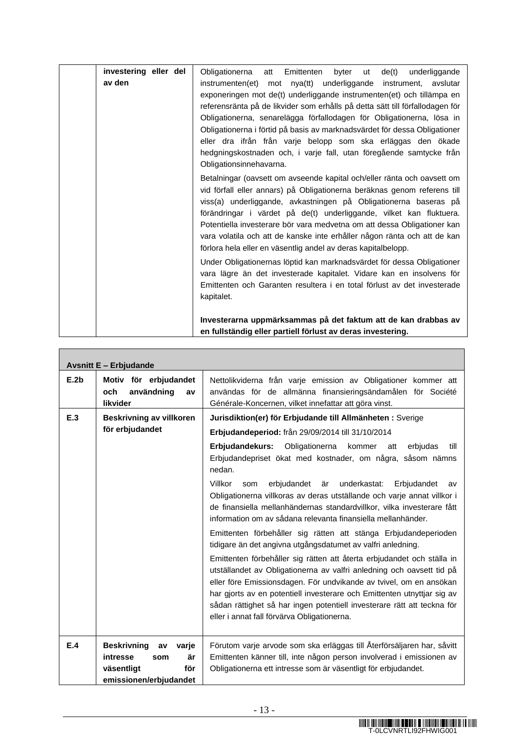| investering eller del<br>av den | Obligationerna<br>Emittenten<br>byter<br>de(t)<br>underliggande<br>att<br>ut<br>mot nya(tt)<br>underliggande<br>instrumenten(et)<br>instrument, avslutar<br>exponeringen mot de(t) underliggande instrumenten(et) och tillämpa en<br>referensränta på de likvider som erhålls på detta sätt till förfallodagen för<br>Obligationerna, senarelägga förfallodagen för Obligationerna, lösa in<br>Obligationerna i förtid på basis av marknadsvärdet för dessa Obligationer<br>eller dra ifrån från varje belopp som ska erläggas den ökade<br>hedgningskostnaden och, i varje fall, utan föregående samtycke från<br>Obligationsinnehavarna. |
|---------------------------------|--------------------------------------------------------------------------------------------------------------------------------------------------------------------------------------------------------------------------------------------------------------------------------------------------------------------------------------------------------------------------------------------------------------------------------------------------------------------------------------------------------------------------------------------------------------------------------------------------------------------------------------------|
|                                 | Betalningar (oavsett om avseende kapital och/eller ränta och oavsett om<br>vid förfall eller annars) på Obligationerna beräknas genom referens till<br>viss(a) underliggande, avkastningen på Obligationerna baseras på<br>förändringar i värdet på de(t) underliggande, vilket kan fluktuera.<br>Potentiella investerare bör vara medvetna om att dessa Obligationer kan<br>vara volatila och att de kanske inte erhåller någon ränta och att de kan<br>förlora hela eller en väsentlig andel av deras kapitalbelopp.                                                                                                                     |
|                                 | Under Obligationernas löptid kan marknadsvärdet för dessa Obligationer<br>vara lägre än det investerade kapitalet. Vidare kan en insolvens för<br>Emittenten och Garanten resultera i en total förlust av det investerade<br>kapitalet.                                                                                                                                                                                                                                                                                                                                                                                                    |
|                                 | Investerarna uppmärksammas på det faktum att de kan drabbas av<br>en fullständig eller partiell förlust av deras investering.                                                                                                                                                                                                                                                                                                                                                                                                                                                                                                              |

|      | <b>Avsnitt E - Erbjudande</b>                                |                                                                                                                                                                                                                                                                                                                                                                                                                            |
|------|--------------------------------------------------------------|----------------------------------------------------------------------------------------------------------------------------------------------------------------------------------------------------------------------------------------------------------------------------------------------------------------------------------------------------------------------------------------------------------------------------|
| E.2b | Motiv för erbjudandet<br>användning<br>och<br>av<br>likvider | Nettolikviderna från varje emission av Obligationer kommer att<br>användas för de allmänna finansieringsändamålen för Société<br>Générale-Koncernen, vilket innefattar att göra vinst.                                                                                                                                                                                                                                     |
| E.3  | <b>Beskrivning av villkoren</b>                              | Jurisdiktion(er) för Erbjudande till Allmänheten: Sverige                                                                                                                                                                                                                                                                                                                                                                  |
|      | för erbjudandet                                              | Erbjudandeperiod: från 29/09/2014 till 31/10/2014                                                                                                                                                                                                                                                                                                                                                                          |
|      |                                                              | Erbjudandekurs: Obligationerna<br>kommer<br>att<br>erbjudas<br>till<br>Erbjudandepriset ökat med kostnader, om några, såsom nämns<br>nedan.                                                                                                                                                                                                                                                                                |
|      |                                                              | Villkor<br>erbjudandet<br>underkastat:<br>är<br>Erbjudandet<br>som<br>av<br>Obligationerna villkoras av deras utställande och varje annat villkor i<br>de finansiella mellanhändernas standardvillkor, vilka investerare fått<br>information om av sådana relevanta finansiella mellanhänder.                                                                                                                              |
|      |                                                              | Emittenten förbehåller sig rätten att stänga Erbjudandeperioden<br>tidigare än det angivna utgångsdatumet av valfri anledning.                                                                                                                                                                                                                                                                                             |
|      |                                                              | Emittenten förbehåller sig rätten att återta erbjudandet och ställa in<br>utställandet av Obligationerna av valfri anledning och oavsett tid på<br>eller före Emissionsdagen. För undvikande av tvivel, om en ansökan<br>har gjorts av en potentiell investerare och Emittenten utnyttjar sig av<br>sådan rättighet så har ingen potentiell investerare rätt att teckna för<br>eller i annat fall förvärva Obligationerna. |
| E.4  | <b>Beskrivning</b><br>varje<br>av                            | Förutom varje arvode som ska erläggas till Återförsäljaren har, såvitt                                                                                                                                                                                                                                                                                                                                                     |
|      | är<br>intresse<br>som                                        | Emittenten känner till, inte någon person involverad i emissionen av                                                                                                                                                                                                                                                                                                                                                       |
|      | för<br>väsentligt                                            | Obligationerna ett intresse som är väsentligt för erbjudandet.                                                                                                                                                                                                                                                                                                                                                             |
|      | emissionen/erbjudandet                                       |                                                                                                                                                                                                                                                                                                                                                                                                                            |